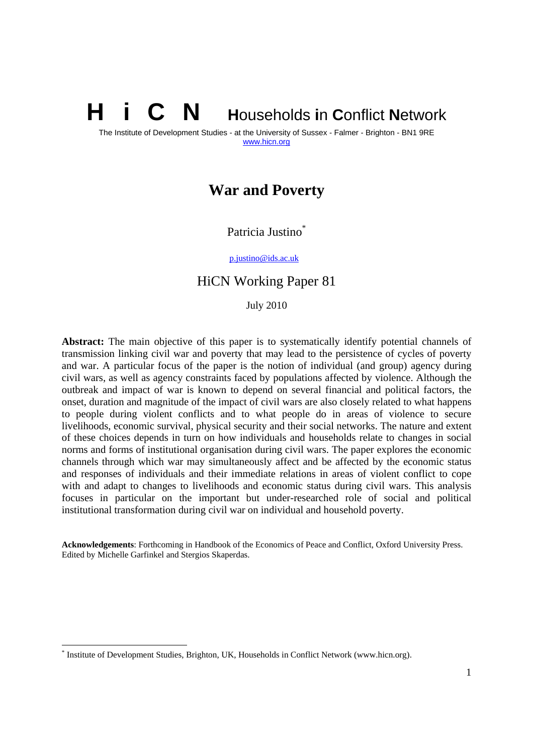# **N** Households in Conflict Network

The Institute of Development Studies - at the University of Sussex - Falmer - Brighton - BN1 9RE www.hicn.org

# **War and Poverty**

Patricia Justino<sup>\*</sup>

p.justino@ids.ac.uk

# HiCN Working Paper 81

July 2010

**Abstract:** The main objective of this paper is to systematically identify potential channels of transmission linking civil war and poverty that may lead to the persistence of cycles of poverty and war. A particular focus of the paper is the notion of individual (and group) agency during civil wars, as well as agency constraints faced by populations affected by violence. Although the outbreak and impact of war is known to depend on several financial and political factors, the onset, duration and magnitude of the impact of civil wars are also closely related to what happens to people during violent conflicts and to what people do in areas of violence to secure livelihoods, economic survival, physical security and their social networks. The nature and extent of these choices depends in turn on how individuals and households relate to changes in social norms and forms of institutional organisation during civil wars. The paper explores the economic channels through which war may simultaneously affect and be affected by the economic status and responses of individuals and their immediate relations in areas of violent conflict to cope with and adapt to changes to livelihoods and economic status during civil wars. This analysis focuses in particular on the important but under-researched role of social and political institutional transformation during civil war on individual and household poverty.

**Acknowledgements**: Forthcoming in Handbook of the Economics of Peace and Conflict, Oxford University Press. Edited by Michelle Garfinkel and Stergios Skaperdas.

l

<sup>\*</sup> Institute of Development Studies, Brighton, UK, Households in Conflict Network (www.hicn.org).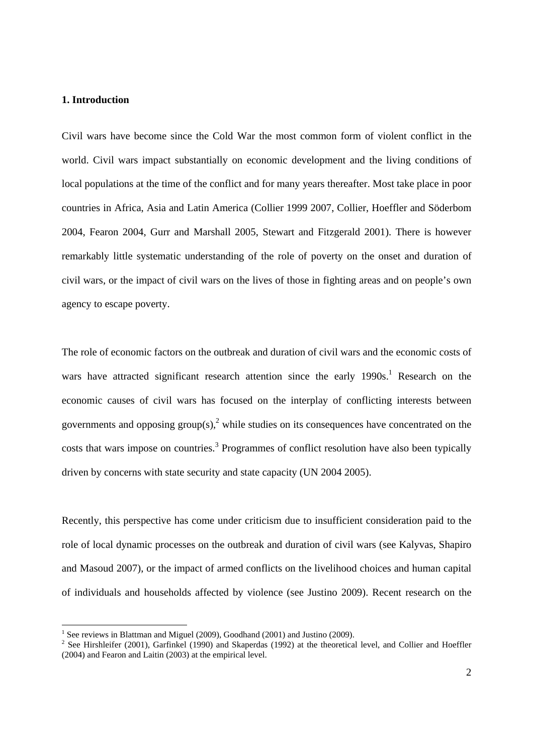### **1. Introduction**

Civil wars have become since the Cold War the most common form of violent conflict in the world. Civil wars impact substantially on economic development and the living conditions of local populations at the time of the conflict and for many years thereafter. Most take place in poor countries in Africa, Asia and Latin America (Collier 1999 2007, Collier, Hoeffler and Söderbom 2004, Fearon 2004, Gurr and Marshall 2005, Stewart and Fitzgerald 2001). There is however remarkably little systematic understanding of the role of poverty on the onset and duration of civil wars, or the impact of civil wars on the lives of those in fighting areas and on people's own agency to escape poverty.

The role of economic factors on the outbreak and duration of civil wars and the economic costs of wars have attracted significant research attention since the early 1990s.<sup>1</sup> Research on the economic causes of civil wars has focused on the interplay of conflicting interests between governments and opposing group(s),<sup>2</sup> while studies on its consequences have concentrated on the costs that wars impose on countries.<sup>3</sup> Programmes of conflict resolution have also been typically driven by concerns with state security and state capacity (UN 2004 2005).

Recently, this perspective has come under criticism due to insufficient consideration paid to the role of local dynamic processes on the outbreak and duration of civil wars (see Kalyvas, Shapiro and Masoud 2007), or the impact of armed conflicts on the livelihood choices and human capital of individuals and households affected by violence (see Justino 2009). Recent research on the

<sup>&</sup>lt;sup>1</sup> See reviews in Blattman and Miguel (2009), Goodhand (2001) and Justino (2009).

<sup>&</sup>lt;sup>2</sup> See Hirshleifer (2001), Garfinkel (1990) and Skaperdas (1992) at the theoretical level, and Collier and Hoeffler (2004) and Fearon and Laitin (2003) at the empirical level.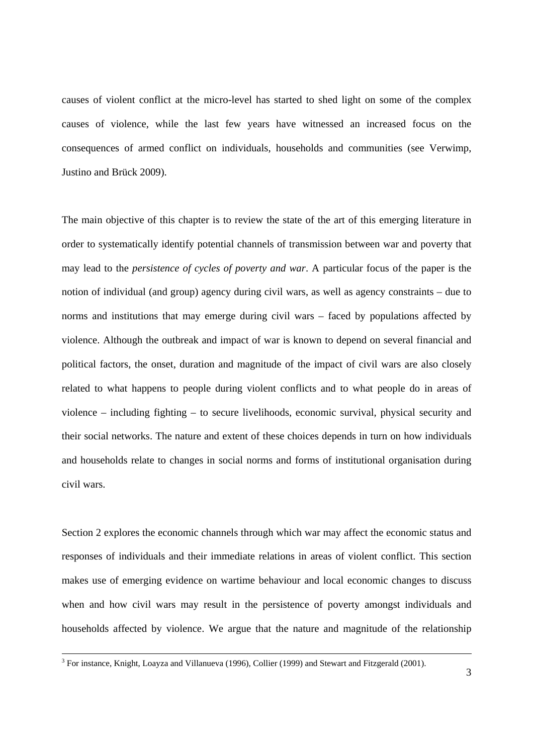causes of violent conflict at the micro-level has started to shed light on some of the complex causes of violence, while the last few years have witnessed an increased focus on the consequences of armed conflict on individuals, households and communities (see Verwimp, Justino and Brück 2009).

The main objective of this chapter is to review the state of the art of this emerging literature in order to systematically identify potential channels of transmission between war and poverty that may lead to the *persistence of cycles of poverty and war*. A particular focus of the paper is the notion of individual (and group) agency during civil wars, as well as agency constraints – due to norms and institutions that may emerge during civil wars – faced by populations affected by violence. Although the outbreak and impact of war is known to depend on several financial and political factors, the onset, duration and magnitude of the impact of civil wars are also closely related to what happens to people during violent conflicts and to what people do in areas of violence – including fighting – to secure livelihoods, economic survival, physical security and their social networks. The nature and extent of these choices depends in turn on how individuals and households relate to changes in social norms and forms of institutional organisation during civil wars.

Section 2 explores the economic channels through which war may affect the economic status and responses of individuals and their immediate relations in areas of violent conflict. This section makes use of emerging evidence on wartime behaviour and local economic changes to discuss when and how civil wars may result in the persistence of poverty amongst individuals and households affected by violence. We argue that the nature and magnitude of the relationship

<sup>&</sup>lt;sup>2</sup><br>3 <sup>3</sup> For instance, Knight, Loayza and Villanueva (1996), Collier (1999) and Stewart and Fitzgerald (2001).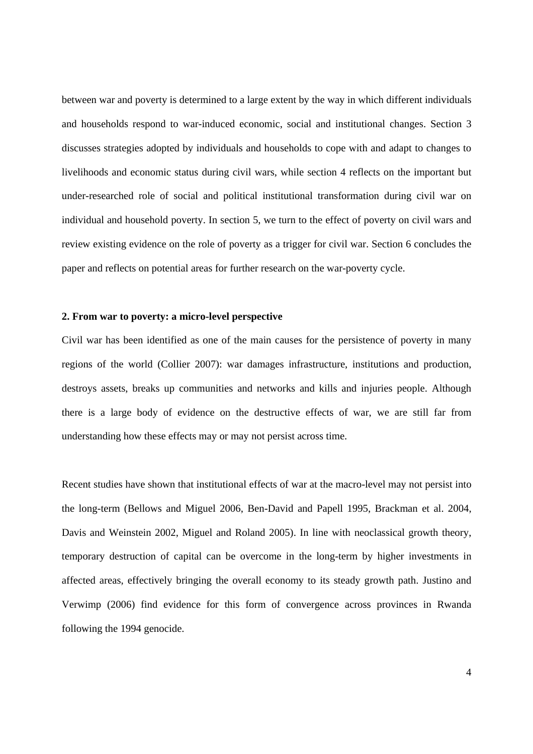between war and poverty is determined to a large extent by the way in which different individuals and households respond to war-induced economic, social and institutional changes. Section 3 discusses strategies adopted by individuals and households to cope with and adapt to changes to livelihoods and economic status during civil wars, while section 4 reflects on the important but under-researched role of social and political institutional transformation during civil war on individual and household poverty. In section 5, we turn to the effect of poverty on civil wars and review existing evidence on the role of poverty as a trigger for civil war. Section 6 concludes the paper and reflects on potential areas for further research on the war-poverty cycle.

# **2. From war to poverty: a micro-level perspective**

Civil war has been identified as one of the main causes for the persistence of poverty in many regions of the world (Collier 2007): war damages infrastructure, institutions and production, destroys assets, breaks up communities and networks and kills and injuries people. Although there is a large body of evidence on the destructive effects of war, we are still far from understanding how these effects may or may not persist across time.

Recent studies have shown that institutional effects of war at the macro-level may not persist into the long-term (Bellows and Miguel 2006, Ben-David and Papell 1995, Brackman et al. 2004, Davis and Weinstein 2002, Miguel and Roland 2005). In line with neoclassical growth theory, temporary destruction of capital can be overcome in the long-term by higher investments in affected areas, effectively bringing the overall economy to its steady growth path. Justino and Verwimp (2006) find evidence for this form of convergence across provinces in Rwanda following the 1994 genocide.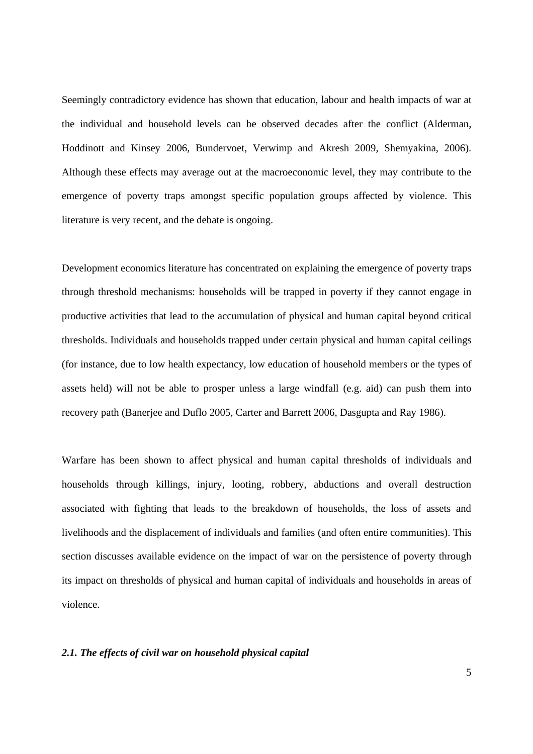Seemingly contradictory evidence has shown that education, labour and health impacts of war at the individual and household levels can be observed decades after the conflict (Alderman, Hoddinott and Kinsey 2006, Bundervoet, Verwimp and Akresh 2009, Shemyakina, 2006). Although these effects may average out at the macroeconomic level, they may contribute to the emergence of poverty traps amongst specific population groups affected by violence. This literature is very recent, and the debate is ongoing.

Development economics literature has concentrated on explaining the emergence of poverty traps through threshold mechanisms: households will be trapped in poverty if they cannot engage in productive activities that lead to the accumulation of physical and human capital beyond critical thresholds. Individuals and households trapped under certain physical and human capital ceilings (for instance, due to low health expectancy, low education of household members or the types of assets held) will not be able to prosper unless a large windfall (e.g. aid) can push them into recovery path (Banerjee and Duflo 2005, Carter and Barrett 2006, Dasgupta and Ray 1986).

Warfare has been shown to affect physical and human capital thresholds of individuals and households through killings, injury, looting, robbery, abductions and overall destruction associated with fighting that leads to the breakdown of households, the loss of assets and livelihoods and the displacement of individuals and families (and often entire communities). This section discusses available evidence on the impact of war on the persistence of poverty through its impact on thresholds of physical and human capital of individuals and households in areas of violence.

# *2.1. The effects of civil war on household physical capital*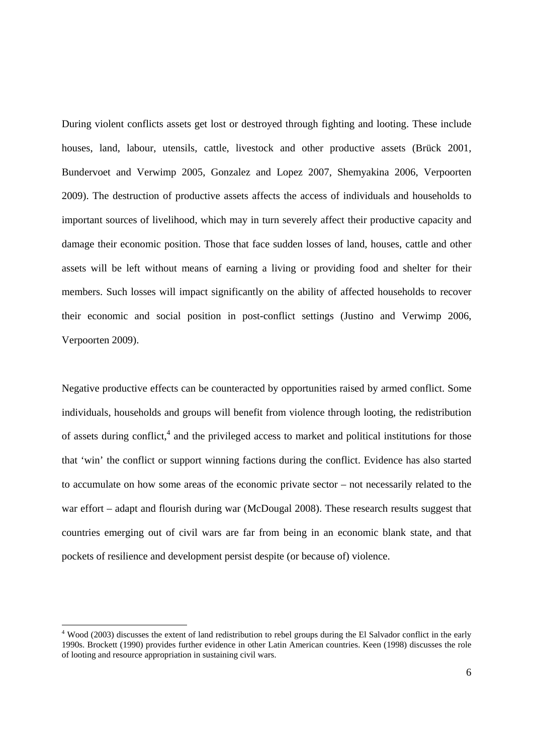During violent conflicts assets get lost or destroyed through fighting and looting. These include houses, land, labour, utensils, cattle, livestock and other productive assets (Brück 2001, Bundervoet and Verwimp 2005, Gonzalez and Lopez 2007, Shemyakina 2006, Verpoorten 2009). The destruction of productive assets affects the access of individuals and households to important sources of livelihood, which may in turn severely affect their productive capacity and damage their economic position. Those that face sudden losses of land, houses, cattle and other assets will be left without means of earning a living or providing food and shelter for their members. Such losses will impact significantly on the ability of affected households to recover their economic and social position in post-conflict settings (Justino and Verwimp 2006, Verpoorten 2009).

Negative productive effects can be counteracted by opportunities raised by armed conflict. Some individuals, households and groups will benefit from violence through looting, the redistribution of assets during conflict,<sup>4</sup> and the privileged access to market and political institutions for those that 'win' the conflict or support winning factions during the conflict. Evidence has also started to accumulate on how some areas of the economic private sector – not necessarily related to the war effort – adapt and flourish during war (McDougal 2008). These research results suggest that countries emerging out of civil wars are far from being in an economic blank state, and that pockets of resilience and development persist despite (or because of) violence.

 4 Wood (2003) discusses the extent of land redistribution to rebel groups during the El Salvador conflict in the early 1990s. Brockett (1990) provides further evidence in other Latin American countries. Keen (1998) discusses the role of looting and resource appropriation in sustaining civil wars.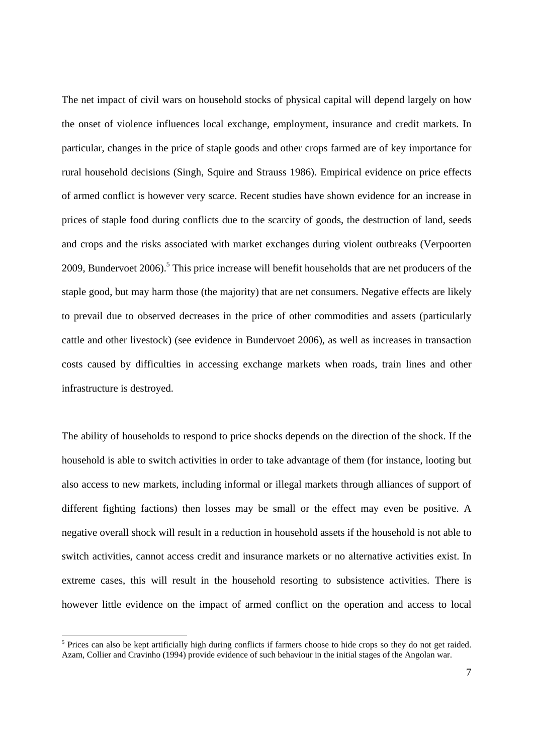The net impact of civil wars on household stocks of physical capital will depend largely on how the onset of violence influences local exchange, employment, insurance and credit markets. In particular, changes in the price of staple goods and other crops farmed are of key importance for rural household decisions (Singh, Squire and Strauss 1986). Empirical evidence on price effects of armed conflict is however very scarce. Recent studies have shown evidence for an increase in prices of staple food during conflicts due to the scarcity of goods, the destruction of land, seeds and crops and the risks associated with market exchanges during violent outbreaks (Verpoorten 2009, Bundervoet 2006).<sup>5</sup> This price increase will benefit households that are net producers of the staple good, but may harm those (the majority) that are net consumers. Negative effects are likely to prevail due to observed decreases in the price of other commodities and assets (particularly cattle and other livestock) (see evidence in Bundervoet 2006), as well as increases in transaction costs caused by difficulties in accessing exchange markets when roads, train lines and other infrastructure is destroyed.

The ability of households to respond to price shocks depends on the direction of the shock. If the household is able to switch activities in order to take advantage of them (for instance, looting but also access to new markets, including informal or illegal markets through alliances of support of different fighting factions) then losses may be small or the effect may even be positive. A negative overall shock will result in a reduction in household assets if the household is not able to switch activities, cannot access credit and insurance markets or no alternative activities exist. In extreme cases, this will result in the household resorting to subsistence activities. There is however little evidence on the impact of armed conflict on the operation and access to local

 $\overline{a}$ 

<sup>&</sup>lt;sup>5</sup> Prices can also be kept artificially high during conflicts if farmers choose to hide crops so they do not get raided. Azam, Collier and Cravinho (1994) provide evidence of such behaviour in the initial stages of the Angolan war.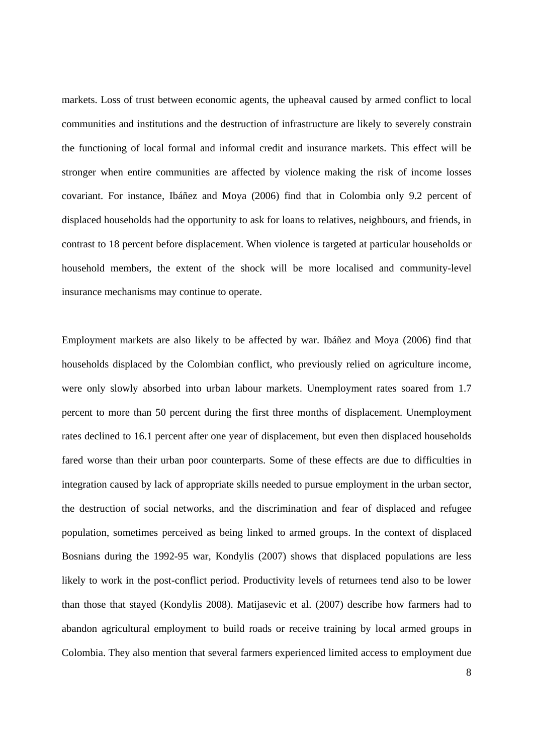markets. Loss of trust between economic agents, the upheaval caused by armed conflict to local communities and institutions and the destruction of infrastructure are likely to severely constrain the functioning of local formal and informal credit and insurance markets. This effect will be stronger when entire communities are affected by violence making the risk of income losses covariant. For instance, Ibáñez and Moya (2006) find that in Colombia only 9.2 percent of displaced households had the opportunity to ask for loans to relatives, neighbours, and friends, in contrast to 18 percent before displacement. When violence is targeted at particular households or household members, the extent of the shock will be more localised and community-level insurance mechanisms may continue to operate.

Employment markets are also likely to be affected by war. Ibáñez and Moya (2006) find that households displaced by the Colombian conflict, who previously relied on agriculture income, were only slowly absorbed into urban labour markets. Unemployment rates soared from 1.7 percent to more than 50 percent during the first three months of displacement. Unemployment rates declined to 16.1 percent after one year of displacement, but even then displaced households fared worse than their urban poor counterparts. Some of these effects are due to difficulties in integration caused by lack of appropriate skills needed to pursue employment in the urban sector, the destruction of social networks, and the discrimination and fear of displaced and refugee population, sometimes perceived as being linked to armed groups. In the context of displaced Bosnians during the 1992-95 war, Kondylis (2007) shows that displaced populations are less likely to work in the post-conflict period. Productivity levels of returnees tend also to be lower than those that stayed (Kondylis 2008). Matijasevic et al. (2007) describe how farmers had to abandon agricultural employment to build roads or receive training by local armed groups in Colombia. They also mention that several farmers experienced limited access to employment due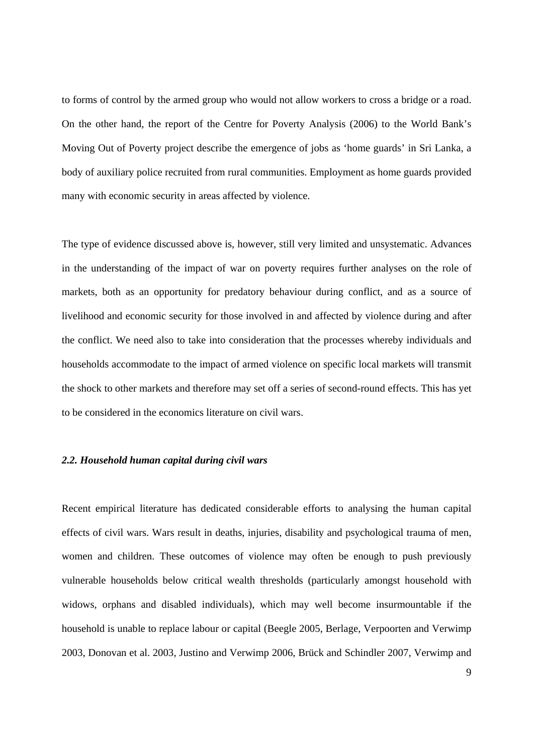to forms of control by the armed group who would not allow workers to cross a bridge or a road. On the other hand, the report of the Centre for Poverty Analysis (2006) to the World Bank's Moving Out of Poverty project describe the emergence of jobs as 'home guards' in Sri Lanka, a body of auxiliary police recruited from rural communities. Employment as home guards provided many with economic security in areas affected by violence.

The type of evidence discussed above is, however, still very limited and unsystematic. Advances in the understanding of the impact of war on poverty requires further analyses on the role of markets, both as an opportunity for predatory behaviour during conflict, and as a source of livelihood and economic security for those involved in and affected by violence during and after the conflict. We need also to take into consideration that the processes whereby individuals and households accommodate to the impact of armed violence on specific local markets will transmit the shock to other markets and therefore may set off a series of second-round effects. This has yet to be considered in the economics literature on civil wars.

# *2.2. Household human capital during civil wars*

Recent empirical literature has dedicated considerable efforts to analysing the human capital effects of civil wars. Wars result in deaths, injuries, disability and psychological trauma of men, women and children. These outcomes of violence may often be enough to push previously vulnerable households below critical wealth thresholds (particularly amongst household with widows, orphans and disabled individuals), which may well become insurmountable if the household is unable to replace labour or capital (Beegle 2005, Berlage, Verpoorten and Verwimp 2003, Donovan et al. 2003, Justino and Verwimp 2006, Brück and Schindler 2007, Verwimp and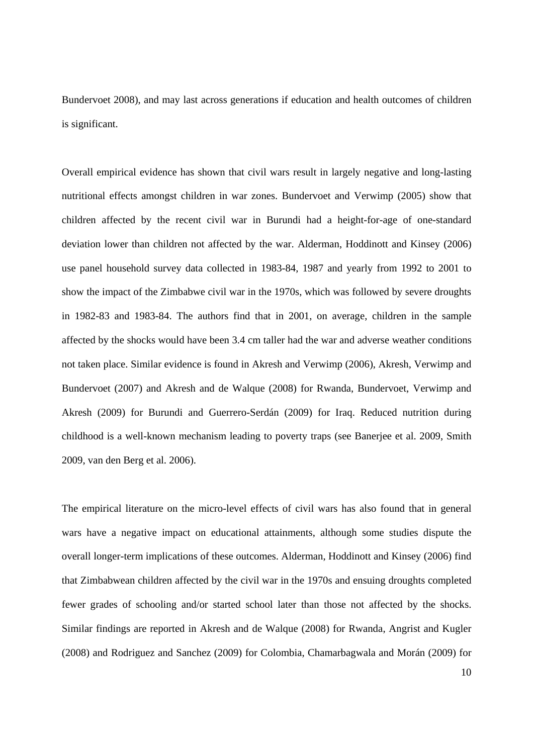Bundervoet 2008), and may last across generations if education and health outcomes of children is significant.

Overall empirical evidence has shown that civil wars result in largely negative and long-lasting nutritional effects amongst children in war zones. Bundervoet and Verwimp (2005) show that children affected by the recent civil war in Burundi had a height-for-age of one-standard deviation lower than children not affected by the war. Alderman, Hoddinott and Kinsey (2006) use panel household survey data collected in 1983-84, 1987 and yearly from 1992 to 2001 to show the impact of the Zimbabwe civil war in the 1970s, which was followed by severe droughts in 1982-83 and 1983-84. The authors find that in 2001, on average, children in the sample affected by the shocks would have been 3.4 cm taller had the war and adverse weather conditions not taken place. Similar evidence is found in Akresh and Verwimp (2006), Akresh, Verwimp and Bundervoet (2007) and Akresh and de Walque (2008) for Rwanda, Bundervoet, Verwimp and Akresh (2009) for Burundi and Guerrero-Serdán (2009) for Iraq. Reduced nutrition during childhood is a well-known mechanism leading to poverty traps (see Banerjee et al. 2009, Smith 2009, van den Berg et al. 2006).

The empirical literature on the micro-level effects of civil wars has also found that in general wars have a negative impact on educational attainments, although some studies dispute the overall longer-term implications of these outcomes. Alderman, Hoddinott and Kinsey (2006) find that Zimbabwean children affected by the civil war in the 1970s and ensuing droughts completed fewer grades of schooling and/or started school later than those not affected by the shocks. Similar findings are reported in Akresh and de Walque (2008) for Rwanda, Angrist and Kugler (2008) and Rodriguez and Sanchez (2009) for Colombia, Chamarbagwala and Morán (2009) for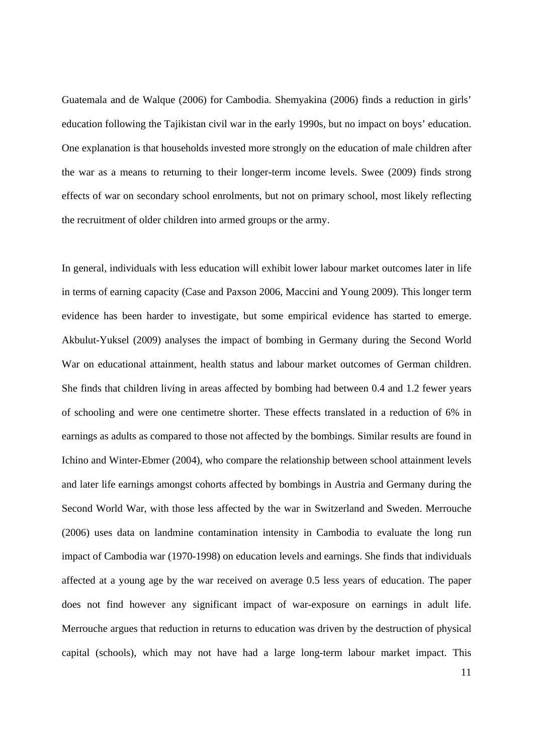Guatemala and de Walque (2006) for Cambodia. Shemyakina (2006) finds a reduction in girls' education following the Tajikistan civil war in the early 1990s, but no impact on boys' education. One explanation is that households invested more strongly on the education of male children after the war as a means to returning to their longer-term income levels. Swee (2009) finds strong effects of war on secondary school enrolments, but not on primary school, most likely reflecting the recruitment of older children into armed groups or the army.

In general, individuals with less education will exhibit lower labour market outcomes later in life in terms of earning capacity (Case and Paxson 2006, Maccini and Young 2009). This longer term evidence has been harder to investigate, but some empirical evidence has started to emerge. Akbulut-Yuksel (2009) analyses the impact of bombing in Germany during the Second World War on educational attainment, health status and labour market outcomes of German children. She finds that children living in areas affected by bombing had between 0.4 and 1.2 fewer years of schooling and were one centimetre shorter. These effects translated in a reduction of 6% in earnings as adults as compared to those not affected by the bombings. Similar results are found in Ichino and Winter-Ebmer (2004), who compare the relationship between school attainment levels and later life earnings amongst cohorts affected by bombings in Austria and Germany during the Second World War, with those less affected by the war in Switzerland and Sweden. Merrouche (2006) uses data on landmine contamination intensity in Cambodia to evaluate the long run impact of Cambodia war (1970-1998) on education levels and earnings. She finds that individuals affected at a young age by the war received on average 0.5 less years of education. The paper does not find however any significant impact of war-exposure on earnings in adult life. Merrouche argues that reduction in returns to education was driven by the destruction of physical capital (schools), which may not have had a large long-term labour market impact. This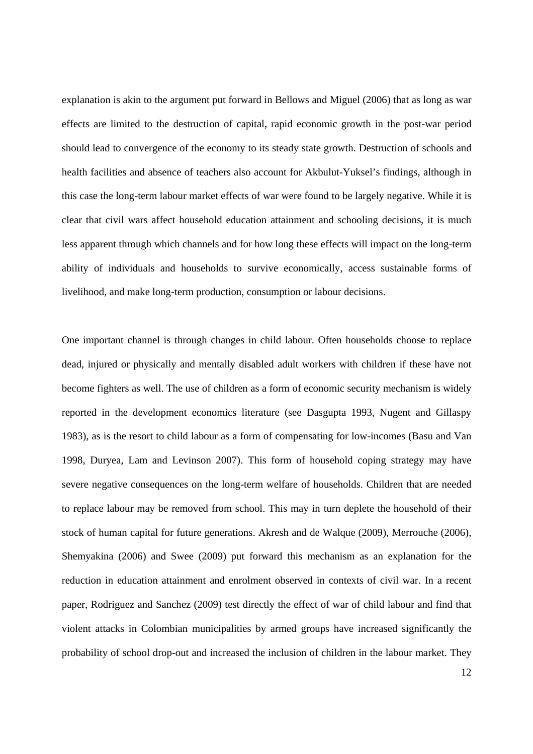explanation is akin to the argument put forward in Bellows and Miguel (2006) that as long as war effects are limited to the destruction of capital, rapid economic growth in the post-war period should lead to convergence of the economy to its steady state growth. Destruction of schools and health facilities and absence of teachers also account for Akbulut-Yuksel's findings, although in this case the long-term labour market effects of war were found to be largely negative. While it is clear that civil wars affect household education attainment and schooling decisions, it is much less apparent through which channels and for how long these effects will impact on the long-term ability of individuals and households to survive economically, access sustainable forms of livelihood, and make long-term production, consumption or labour decisions.

One important channel is through changes in child labour. Often households choose to replace dead, injured or physically and mentally disabled adult workers with children if these have not become fighters as well. The use of children as a form of economic security mechanism is widely reported in the development economics literature (see Dasgupta 1993, Nugent and Gillaspy 1983), as is the resort to child labour as a form of compensating for low-incomes (Basu and Van 1998, Duryea, Lam and Levinson 2007). This form of household coping strategy may have severe negative consequences on the long-term welfare of households. Children that are needed to replace labour may be removed from school. This may in turn deplete the household of their stock of human capital for future generations. Akresh and de Walque (2009), Merrouche (2006), Shemyakina (2006) and Swee (2009) put forward this mechanism as an explanation for the reduction in education attainment and enrolment observed in contexts of civil war. In a recent paper, Rodriguez and Sanchez (2009) test directly the effect of war of child labour and find that violent attacks in Colombian municipalities by armed groups have increased significantly the probability of school drop-out and increased the inclusion of children in the labour market. They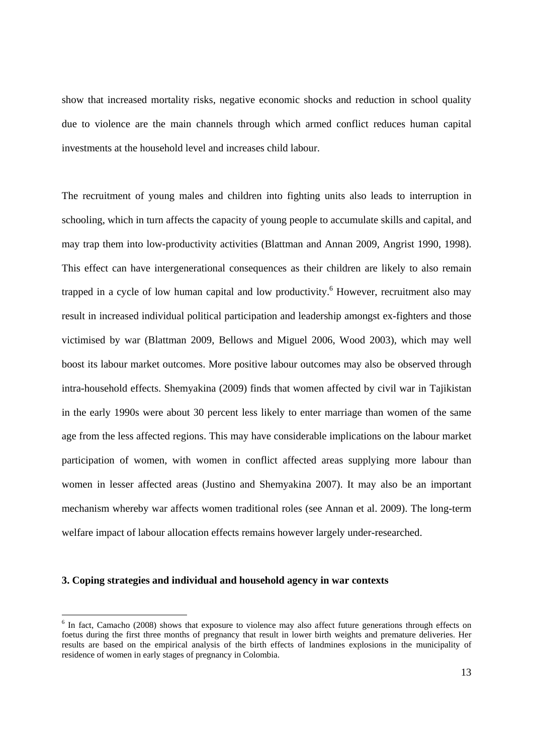show that increased mortality risks, negative economic shocks and reduction in school quality due to violence are the main channels through which armed conflict reduces human capital investments at the household level and increases child labour.

The recruitment of young males and children into fighting units also leads to interruption in schooling, which in turn affects the capacity of young people to accumulate skills and capital, and may trap them into low-productivity activities (Blattman and Annan 2009, Angrist 1990, 1998). This effect can have intergenerational consequences as their children are likely to also remain trapped in a cycle of low human capital and low productivity.<sup>6</sup> However, recruitment also may result in increased individual political participation and leadership amongst ex-fighters and those victimised by war (Blattman 2009, Bellows and Miguel 2006, Wood 2003), which may well boost its labour market outcomes. More positive labour outcomes may also be observed through intra-household effects. Shemyakina (2009) finds that women affected by civil war in Tajikistan in the early 1990s were about 30 percent less likely to enter marriage than women of the same age from the less affected regions. This may have considerable implications on the labour market participation of women, with women in conflict affected areas supplying more labour than women in lesser affected areas (Justino and Shemyakina 2007). It may also be an important mechanism whereby war affects women traditional roles (see Annan et al. 2009). The long-term welfare impact of labour allocation effects remains however largely under-researched.

### **3. Coping strategies and individual and household agency in war contexts**

<sup>&</sup>lt;sup>6</sup> In fact, Camacho (2008) shows that exposure to violence may also affect future generations through effects on foetus during the first three months of pregnancy that result in lower birth weights and premature deliveries. Her results are based on the empirical analysis of the birth effects of landmines explosions in the municipality of residence of women in early stages of pregnancy in Colombia.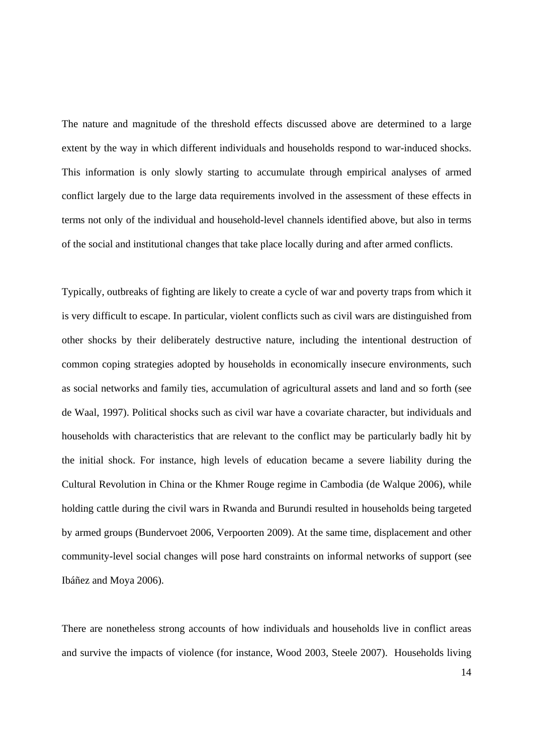The nature and magnitude of the threshold effects discussed above are determined to a large extent by the way in which different individuals and households respond to war-induced shocks. This information is only slowly starting to accumulate through empirical analyses of armed conflict largely due to the large data requirements involved in the assessment of these effects in terms not only of the individual and household-level channels identified above, but also in terms of the social and institutional changes that take place locally during and after armed conflicts.

Typically, outbreaks of fighting are likely to create a cycle of war and poverty traps from which it is very difficult to escape. In particular, violent conflicts such as civil wars are distinguished from other shocks by their deliberately destructive nature, including the intentional destruction of common coping strategies adopted by households in economically insecure environments, such as social networks and family ties, accumulation of agricultural assets and land and so forth (see de Waal, 1997). Political shocks such as civil war have a covariate character, but individuals and households with characteristics that are relevant to the conflict may be particularly badly hit by the initial shock. For instance, high levels of education became a severe liability during the Cultural Revolution in China or the Khmer Rouge regime in Cambodia (de Walque 2006), while holding cattle during the civil wars in Rwanda and Burundi resulted in households being targeted by armed groups (Bundervoet 2006, Verpoorten 2009). At the same time, displacement and other community-level social changes will pose hard constraints on informal networks of support (see Ibáñez and Moya 2006).

There are nonetheless strong accounts of how individuals and households live in conflict areas and survive the impacts of violence (for instance, Wood 2003, Steele 2007). Households living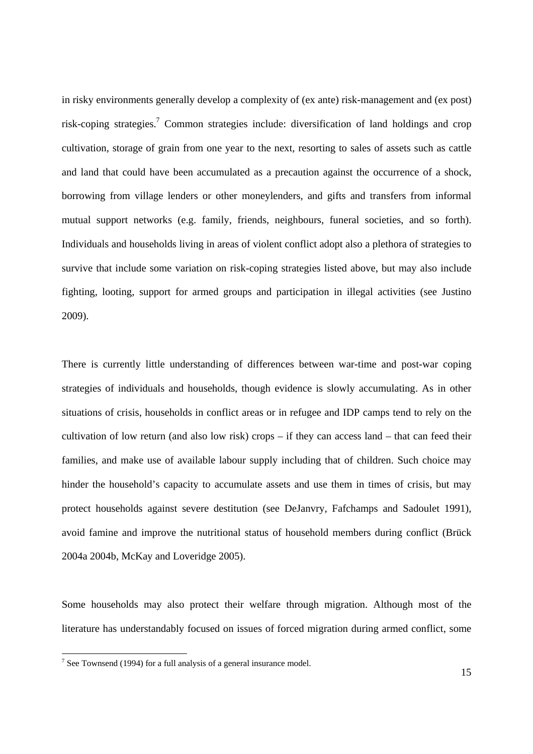in risky environments generally develop a complexity of (ex ante) risk-management and (ex post) risk-coping strategies.<sup>7</sup> Common strategies include: diversification of land holdings and crop cultivation, storage of grain from one year to the next, resorting to sales of assets such as cattle and land that could have been accumulated as a precaution against the occurrence of a shock, borrowing from village lenders or other moneylenders, and gifts and transfers from informal mutual support networks (e.g. family, friends, neighbours, funeral societies, and so forth). Individuals and households living in areas of violent conflict adopt also a plethora of strategies to survive that include some variation on risk-coping strategies listed above, but may also include fighting, looting, support for armed groups and participation in illegal activities (see Justino 2009).

There is currently little understanding of differences between war-time and post-war coping strategies of individuals and households, though evidence is slowly accumulating. As in other situations of crisis, households in conflict areas or in refugee and IDP camps tend to rely on the cultivation of low return (and also low risk) crops – if they can access land – that can feed their families, and make use of available labour supply including that of children. Such choice may hinder the household's capacity to accumulate assets and use them in times of crisis, but may protect households against severe destitution (see DeJanvry, Fafchamps and Sadoulet 1991), avoid famine and improve the nutritional status of household members during conflict (Brück 2004a 2004b, McKay and Loveridge 2005).

Some households may also protect their welfare through migration. Although most of the literature has understandably focused on issues of forced migration during armed conflict, some

<sup>&</sup>lt;sup>7</sup> See Townsend (1994) for a full analysis of a general insurance model.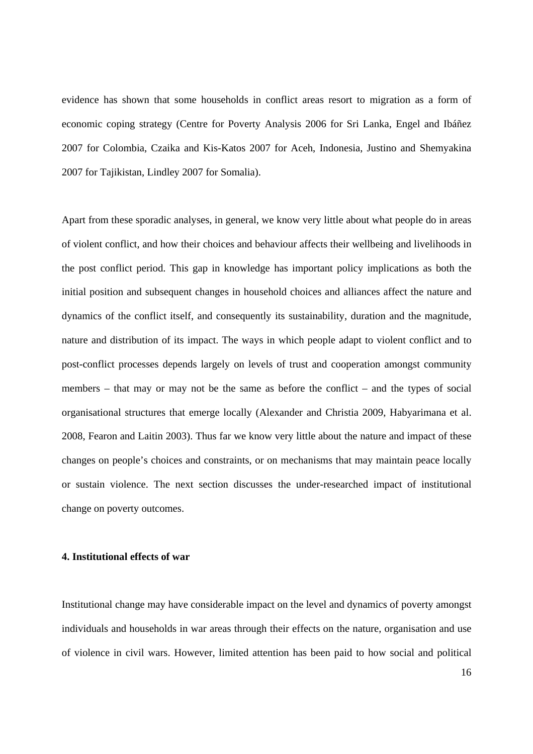evidence has shown that some households in conflict areas resort to migration as a form of economic coping strategy (Centre for Poverty Analysis 2006 for Sri Lanka, Engel and Ibáñez 2007 for Colombia, Czaika and Kis-Katos 2007 for Aceh, Indonesia, Justino and Shemyakina 2007 for Tajikistan, Lindley 2007 for Somalia).

Apart from these sporadic analyses, in general, we know very little about what people do in areas of violent conflict, and how their choices and behaviour affects their wellbeing and livelihoods in the post conflict period. This gap in knowledge has important policy implications as both the initial position and subsequent changes in household choices and alliances affect the nature and dynamics of the conflict itself, and consequently its sustainability, duration and the magnitude, nature and distribution of its impact. The ways in which people adapt to violent conflict and to post-conflict processes depends largely on levels of trust and cooperation amongst community members – that may or may not be the same as before the conflict – and the types of social organisational structures that emerge locally (Alexander and Christia 2009, Habyarimana et al. 2008, Fearon and Laitin 2003). Thus far we know very little about the nature and impact of these changes on people's choices and constraints, or on mechanisms that may maintain peace locally or sustain violence. The next section discusses the under-researched impact of institutional change on poverty outcomes.

# **4. Institutional effects of war**

Institutional change may have considerable impact on the level and dynamics of poverty amongst individuals and households in war areas through their effects on the nature, organisation and use of violence in civil wars. However, limited attention has been paid to how social and political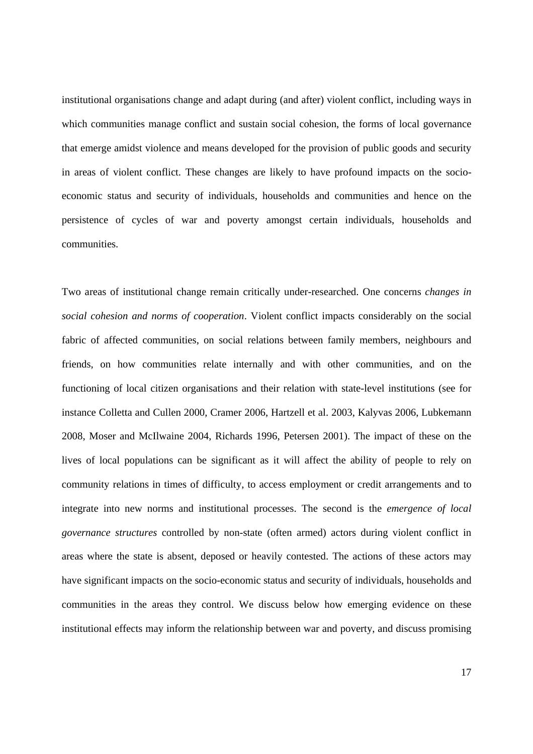institutional organisations change and adapt during (and after) violent conflict, including ways in which communities manage conflict and sustain social cohesion, the forms of local governance that emerge amidst violence and means developed for the provision of public goods and security in areas of violent conflict. These changes are likely to have profound impacts on the socioeconomic status and security of individuals, households and communities and hence on the persistence of cycles of war and poverty amongst certain individuals, households and communities.

Two areas of institutional change remain critically under-researched. One concerns *changes in social cohesion and norms of cooperation*. Violent conflict impacts considerably on the social fabric of affected communities, on social relations between family members, neighbours and friends, on how communities relate internally and with other communities, and on the functioning of local citizen organisations and their relation with state-level institutions (see for instance Colletta and Cullen 2000, Cramer 2006, Hartzell et al. 2003, Kalyvas 2006, Lubkemann 2008, Moser and McIlwaine 2004, Richards 1996, Petersen 2001). The impact of these on the lives of local populations can be significant as it will affect the ability of people to rely on community relations in times of difficulty, to access employment or credit arrangements and to integrate into new norms and institutional processes. The second is the *emergence of local governance structures* controlled by non-state (often armed) actors during violent conflict in areas where the state is absent, deposed or heavily contested. The actions of these actors may have significant impacts on the socio-economic status and security of individuals, households and communities in the areas they control. We discuss below how emerging evidence on these institutional effects may inform the relationship between war and poverty, and discuss promising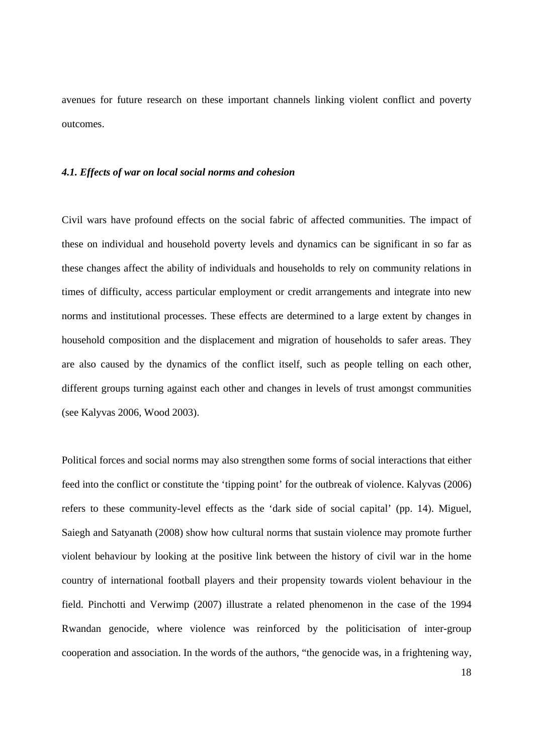avenues for future research on these important channels linking violent conflict and poverty outcomes.

# *4.1. Effects of war on local social norms and cohesion*

Civil wars have profound effects on the social fabric of affected communities. The impact of these on individual and household poverty levels and dynamics can be significant in so far as these changes affect the ability of individuals and households to rely on community relations in times of difficulty, access particular employment or credit arrangements and integrate into new norms and institutional processes. These effects are determined to a large extent by changes in household composition and the displacement and migration of households to safer areas. They are also caused by the dynamics of the conflict itself, such as people telling on each other, different groups turning against each other and changes in levels of trust amongst communities (see Kalyvas 2006, Wood 2003).

Political forces and social norms may also strengthen some forms of social interactions that either feed into the conflict or constitute the 'tipping point' for the outbreak of violence. Kalyvas (2006) refers to these community-level effects as the 'dark side of social capital' (pp. 14). Miguel, Saiegh and Satyanath (2008) show how cultural norms that sustain violence may promote further violent behaviour by looking at the positive link between the history of civil war in the home country of international football players and their propensity towards violent behaviour in the field. Pinchotti and Verwimp (2007) illustrate a related phenomenon in the case of the 1994 Rwandan genocide, where violence was reinforced by the politicisation of inter-group cooperation and association. In the words of the authors, "the genocide was, in a frightening way,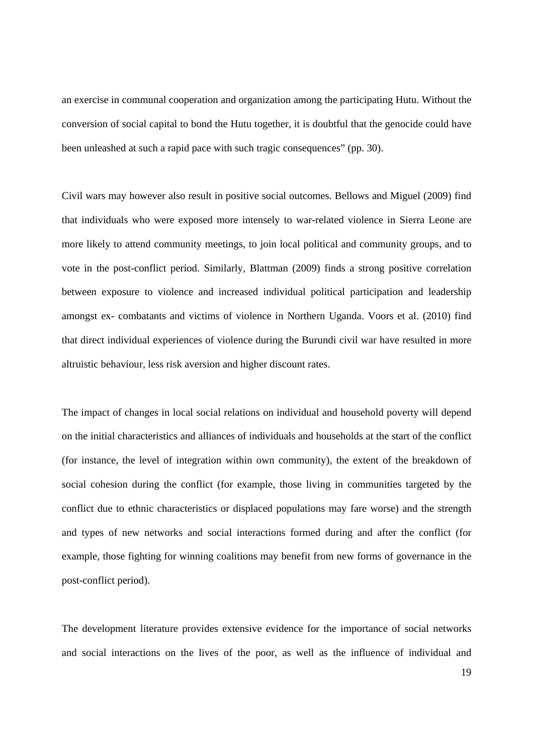an exercise in communal cooperation and organization among the participating Hutu. Without the conversion of social capital to bond the Hutu together, it is doubtful that the genocide could have been unleashed at such a rapid pace with such tragic consequences" (pp. 30).

Civil wars may however also result in positive social outcomes. Bellows and Miguel (2009) find that individuals who were exposed more intensely to war-related violence in Sierra Leone are more likely to attend community meetings, to join local political and community groups, and to vote in the post-conflict period. Similarly, Blattman (2009) finds a strong positive correlation between exposure to violence and increased individual political participation and leadership amongst ex- combatants and victims of violence in Northern Uganda. Voors et al. (2010) find that direct individual experiences of violence during the Burundi civil war have resulted in more altruistic behaviour, less risk aversion and higher discount rates.

The impact of changes in local social relations on individual and household poverty will depend on the initial characteristics and alliances of individuals and households at the start of the conflict (for instance, the level of integration within own community), the extent of the breakdown of social cohesion during the conflict (for example, those living in communities targeted by the conflict due to ethnic characteristics or displaced populations may fare worse) and the strength and types of new networks and social interactions formed during and after the conflict (for example, those fighting for winning coalitions may benefit from new forms of governance in the post-conflict period).

The development literature provides extensive evidence for the importance of social networks and social interactions on the lives of the poor, as well as the influence of individual and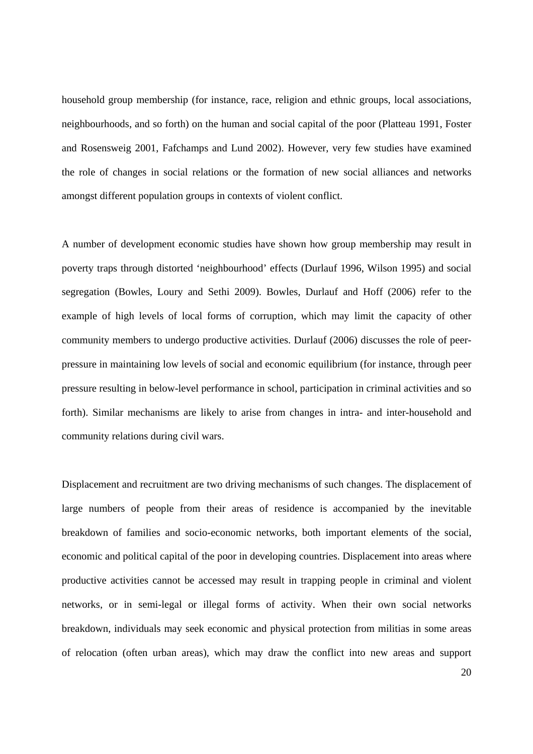household group membership (for instance, race, religion and ethnic groups, local associations, neighbourhoods, and so forth) on the human and social capital of the poor (Platteau 1991, Foster and Rosensweig 2001, Fafchamps and Lund 2002). However, very few studies have examined the role of changes in social relations or the formation of new social alliances and networks amongst different population groups in contexts of violent conflict.

A number of development economic studies have shown how group membership may result in poverty traps through distorted 'neighbourhood' effects (Durlauf 1996, Wilson 1995) and social segregation (Bowles, Loury and Sethi 2009). Bowles, Durlauf and Hoff (2006) refer to the example of high levels of local forms of corruption, which may limit the capacity of other community members to undergo productive activities. Durlauf (2006) discusses the role of peerpressure in maintaining low levels of social and economic equilibrium (for instance, through peer pressure resulting in below-level performance in school, participation in criminal activities and so forth). Similar mechanisms are likely to arise from changes in intra- and inter-household and community relations during civil wars.

Displacement and recruitment are two driving mechanisms of such changes. The displacement of large numbers of people from their areas of residence is accompanied by the inevitable breakdown of families and socio-economic networks, both important elements of the social, economic and political capital of the poor in developing countries. Displacement into areas where productive activities cannot be accessed may result in trapping people in criminal and violent networks, or in semi-legal or illegal forms of activity. When their own social networks breakdown, individuals may seek economic and physical protection from militias in some areas of relocation (often urban areas), which may draw the conflict into new areas and support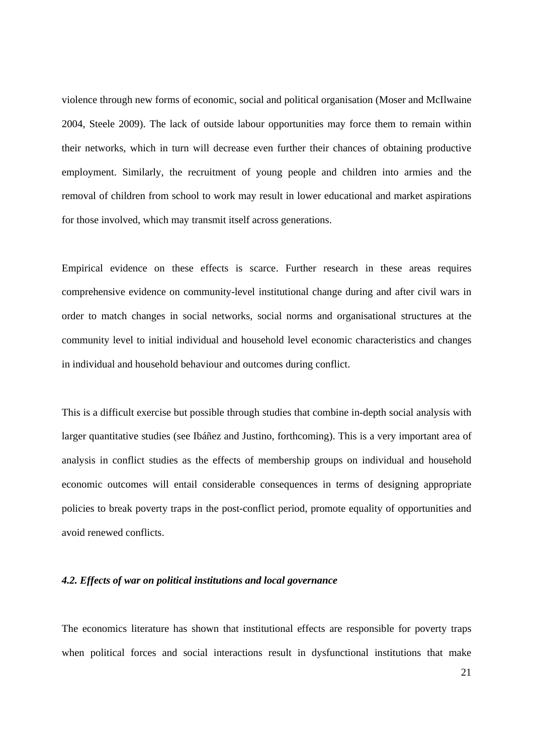violence through new forms of economic, social and political organisation (Moser and McIlwaine 2004, Steele 2009). The lack of outside labour opportunities may force them to remain within their networks, which in turn will decrease even further their chances of obtaining productive employment. Similarly, the recruitment of young people and children into armies and the removal of children from school to work may result in lower educational and market aspirations for those involved, which may transmit itself across generations.

Empirical evidence on these effects is scarce. Further research in these areas requires comprehensive evidence on community-level institutional change during and after civil wars in order to match changes in social networks, social norms and organisational structures at the community level to initial individual and household level economic characteristics and changes in individual and household behaviour and outcomes during conflict.

This is a difficult exercise but possible through studies that combine in-depth social analysis with larger quantitative studies (see Ibáñez and Justino, forthcoming). This is a very important area of analysis in conflict studies as the effects of membership groups on individual and household economic outcomes will entail considerable consequences in terms of designing appropriate policies to break poverty traps in the post-conflict period, promote equality of opportunities and avoid renewed conflicts.

# *4.2. Effects of war on political institutions and local governance*

The economics literature has shown that institutional effects are responsible for poverty traps when political forces and social interactions result in dysfunctional institutions that make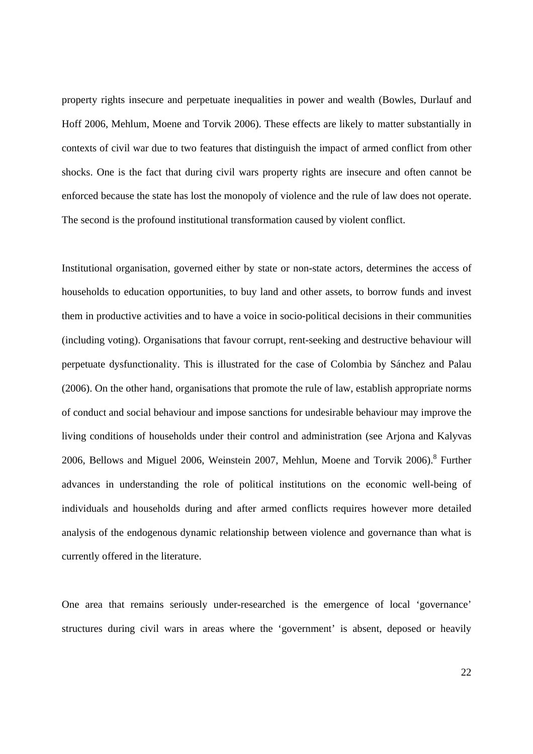property rights insecure and perpetuate inequalities in power and wealth (Bowles, Durlauf and Hoff 2006, Mehlum, Moene and Torvik 2006). These effects are likely to matter substantially in contexts of civil war due to two features that distinguish the impact of armed conflict from other shocks. One is the fact that during civil wars property rights are insecure and often cannot be enforced because the state has lost the monopoly of violence and the rule of law does not operate. The second is the profound institutional transformation caused by violent conflict.

Institutional organisation, governed either by state or non-state actors, determines the access of households to education opportunities, to buy land and other assets, to borrow funds and invest them in productive activities and to have a voice in socio-political decisions in their communities (including voting). Organisations that favour corrupt, rent-seeking and destructive behaviour will perpetuate dysfunctionality. This is illustrated for the case of Colombia by Sánchez and Palau (2006). On the other hand, organisations that promote the rule of law, establish appropriate norms of conduct and social behaviour and impose sanctions for undesirable behaviour may improve the living conditions of households under their control and administration (see Arjona and Kalyvas 2006, Bellows and Miguel 2006, Weinstein 2007, Mehlun, Moene and Torvik 2006). $8$  Further advances in understanding the role of political institutions on the economic well-being of individuals and households during and after armed conflicts requires however more detailed analysis of the endogenous dynamic relationship between violence and governance than what is currently offered in the literature.

One area that remains seriously under-researched is the emergence of local 'governance' structures during civil wars in areas where the 'government' is absent, deposed or heavily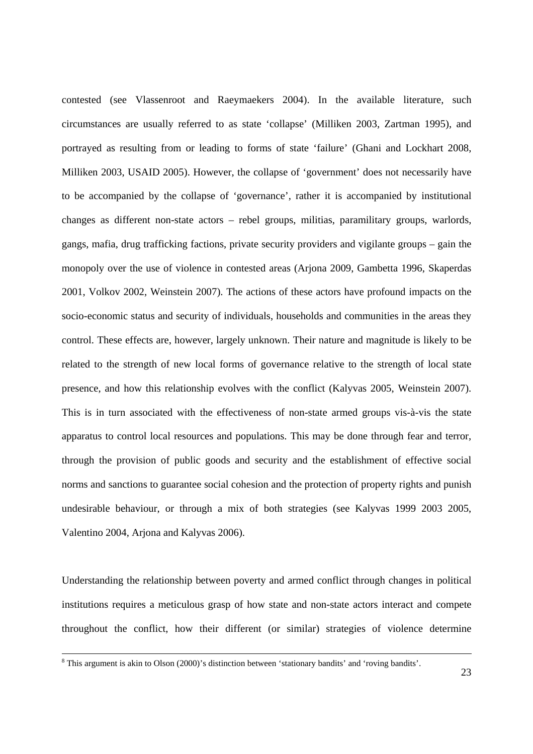contested (see Vlassenroot and Raeymaekers 2004). In the available literature, such circumstances are usually referred to as state 'collapse' (Milliken 2003, Zartman 1995), and portrayed as resulting from or leading to forms of state 'failure' (Ghani and Lockhart 2008, Milliken 2003, USAID 2005). However, the collapse of 'government' does not necessarily have to be accompanied by the collapse of 'governance', rather it is accompanied by institutional changes as different non-state actors – rebel groups, militias, paramilitary groups, warlords, gangs, mafia, drug trafficking factions, private security providers and vigilante groups – gain the monopoly over the use of violence in contested areas (Arjona 2009, Gambetta 1996, Skaperdas 2001, Volkov 2002, Weinstein 2007). The actions of these actors have profound impacts on the socio-economic status and security of individuals, households and communities in the areas they control. These effects are, however, largely unknown. Their nature and magnitude is likely to be related to the strength of new local forms of governance relative to the strength of local state presence, and how this relationship evolves with the conflict (Kalyvas 2005, Weinstein 2007). This is in turn associated with the effectiveness of non-state armed groups vis-à-vis the state apparatus to control local resources and populations. This may be done through fear and terror, through the provision of public goods and security and the establishment of effective social norms and sanctions to guarantee social cohesion and the protection of property rights and punish undesirable behaviour, or through a mix of both strategies (see Kalyvas 1999 2003 2005, Valentino 2004, Arjona and Kalyvas 2006).

Understanding the relationship between poverty and armed conflict through changes in political institutions requires a meticulous grasp of how state and non-state actors interact and compete throughout the conflict, how their different (or similar) strategies of violence determine

 $\frac{1}{8}$ This argument is akin to Olson (2000)'s distinction between 'stationary bandits' and 'roving bandits'.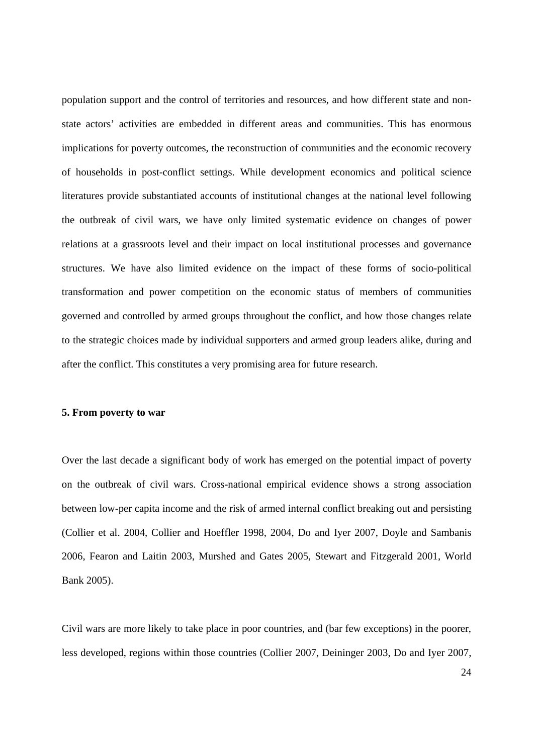population support and the control of territories and resources, and how different state and nonstate actors' activities are embedded in different areas and communities. This has enormous implications for poverty outcomes, the reconstruction of communities and the economic recovery of households in post-conflict settings. While development economics and political science literatures provide substantiated accounts of institutional changes at the national level following the outbreak of civil wars, we have only limited systematic evidence on changes of power relations at a grassroots level and their impact on local institutional processes and governance structures. We have also limited evidence on the impact of these forms of socio-political transformation and power competition on the economic status of members of communities governed and controlled by armed groups throughout the conflict, and how those changes relate to the strategic choices made by individual supporters and armed group leaders alike, during and after the conflict. This constitutes a very promising area for future research.

#### **5. From poverty to war**

Over the last decade a significant body of work has emerged on the potential impact of poverty on the outbreak of civil wars. Cross-national empirical evidence shows a strong association between low-per capita income and the risk of armed internal conflict breaking out and persisting (Collier et al. 2004, Collier and Hoeffler 1998, 2004, Do and Iyer 2007, Doyle and Sambanis 2006, Fearon and Laitin 2003, Murshed and Gates 2005, Stewart and Fitzgerald 2001, World Bank 2005).

Civil wars are more likely to take place in poor countries, and (bar few exceptions) in the poorer, less developed, regions within those countries (Collier 2007, Deininger 2003, Do and Iyer 2007,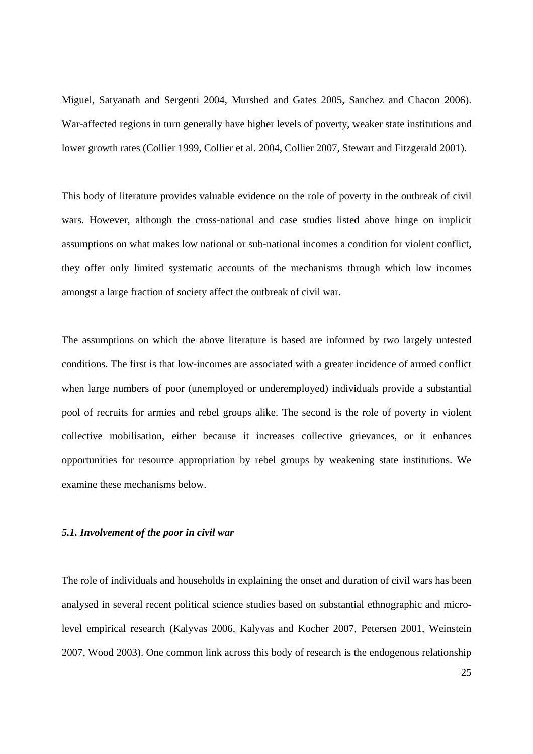Miguel, Satyanath and Sergenti 2004, Murshed and Gates 2005, Sanchez and Chacon 2006). War-affected regions in turn generally have higher levels of poverty, weaker state institutions and lower growth rates (Collier 1999, Collier et al. 2004, Collier 2007, Stewart and Fitzgerald 2001).

This body of literature provides valuable evidence on the role of poverty in the outbreak of civil wars. However, although the cross-national and case studies listed above hinge on implicit assumptions on what makes low national or sub-national incomes a condition for violent conflict, they offer only limited systematic accounts of the mechanisms through which low incomes amongst a large fraction of society affect the outbreak of civil war.

The assumptions on which the above literature is based are informed by two largely untested conditions. The first is that low-incomes are associated with a greater incidence of armed conflict when large numbers of poor (unemployed or underemployed) individuals provide a substantial pool of recruits for armies and rebel groups alike. The second is the role of poverty in violent collective mobilisation, either because it increases collective grievances, or it enhances opportunities for resource appropriation by rebel groups by weakening state institutions. We examine these mechanisms below.

# *5.1. Involvement of the poor in civil war*

The role of individuals and households in explaining the onset and duration of civil wars has been analysed in several recent political science studies based on substantial ethnographic and microlevel empirical research (Kalyvas 2006, Kalyvas and Kocher 2007, Petersen 2001, Weinstein 2007, Wood 2003). One common link across this body of research is the endogenous relationship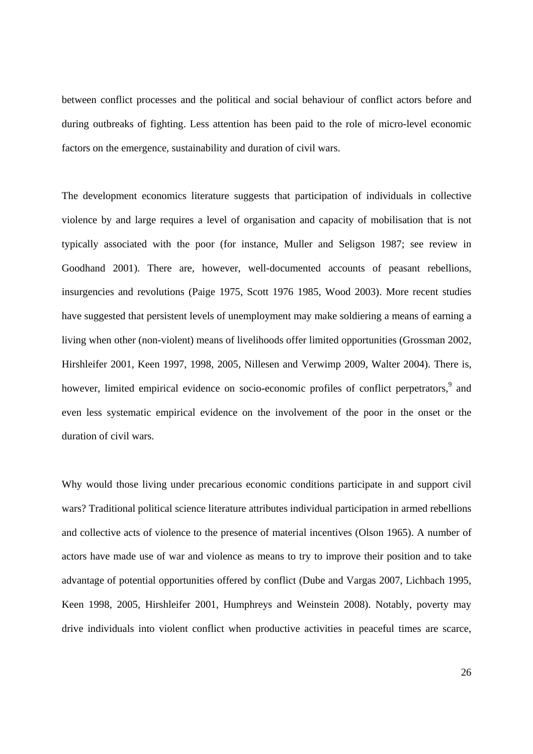between conflict processes and the political and social behaviour of conflict actors before and during outbreaks of fighting. Less attention has been paid to the role of micro-level economic factors on the emergence, sustainability and duration of civil wars.

The development economics literature suggests that participation of individuals in collective violence by and large requires a level of organisation and capacity of mobilisation that is not typically associated with the poor (for instance, Muller and Seligson 1987; see review in Goodhand 2001). There are, however, well-documented accounts of peasant rebellions, insurgencies and revolutions (Paige 1975, Scott 1976 1985, Wood 2003). More recent studies have suggested that persistent levels of unemployment may make soldiering a means of earning a living when other (non-violent) means of livelihoods offer limited opportunities (Grossman 2002, Hirshleifer 2001, Keen 1997, 1998, 2005, Nillesen and Verwimp 2009, Walter 2004). There is, however, limited empirical evidence on socio-economic profiles of conflict perpetrators,<sup>9</sup> and even less systematic empirical evidence on the involvement of the poor in the onset or the duration of civil wars.

Why would those living under precarious economic conditions participate in and support civil wars? Traditional political science literature attributes individual participation in armed rebellions and collective acts of violence to the presence of material incentives (Olson 1965). A number of actors have made use of war and violence as means to try to improve their position and to take advantage of potential opportunities offered by conflict (Dube and Vargas 2007, Lichbach 1995, Keen 1998, 2005, Hirshleifer 2001, Humphreys and Weinstein 2008). Notably, poverty may drive individuals into violent conflict when productive activities in peaceful times are scarce,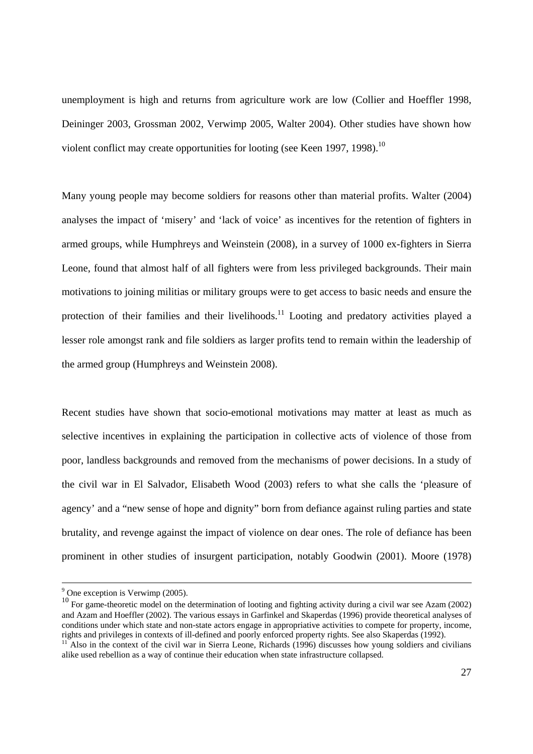unemployment is high and returns from agriculture work are low (Collier and Hoeffler 1998, Deininger 2003, Grossman 2002, Verwimp 2005, Walter 2004). Other studies have shown how violent conflict may create opportunities for looting (see Keen 1997, 1998).<sup>10</sup>

Many young people may become soldiers for reasons other than material profits. Walter (2004) analyses the impact of 'misery' and 'lack of voice' as incentives for the retention of fighters in armed groups, while Humphreys and Weinstein (2008), in a survey of 1000 ex-fighters in Sierra Leone, found that almost half of all fighters were from less privileged backgrounds. Their main motivations to joining militias or military groups were to get access to basic needs and ensure the protection of their families and their livelihoods.<sup>11</sup> Looting and predatory activities played a lesser role amongst rank and file soldiers as larger profits tend to remain within the leadership of the armed group (Humphreys and Weinstein 2008).

Recent studies have shown that socio-emotional motivations may matter at least as much as selective incentives in explaining the participation in collective acts of violence of those from poor, landless backgrounds and removed from the mechanisms of power decisions. In a study of the civil war in El Salvador, Elisabeth Wood (2003) refers to what she calls the 'pleasure of agency' and a "new sense of hope and dignity" born from defiance against ruling parties and state brutality, and revenge against the impact of violence on dear ones. The role of defiance has been prominent in other studies of insurgent participation, notably Goodwin (2001). Moore (1978)

<sup>-&</sup>lt;br>9  $9^9$  One exception is Verwimp (2005).

<sup>&</sup>lt;sup>10</sup> For game-theoretic model on the determination of looting and fighting activity during a civil war see Azam (2002) and Azam and Hoeffler (2002). The various essays in Garfinkel and Skaperdas (1996) provide theoretical analyses of conditions under which state and non-state actors engage in appropriative activities to compete for property, income, rights and privileges in contexts of ill-defined and poorly enforced property rights. See also Skaperdas (1992).

Also in the context of the civil war in Sierra Leone, Richards (1996) discusses how young soldiers and civilians alike used rebellion as a way of continue their education when state infrastructure collapsed.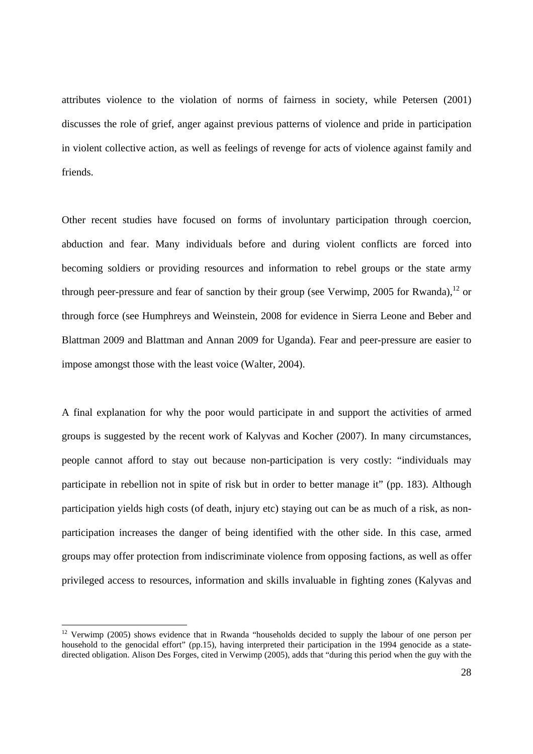attributes violence to the violation of norms of fairness in society, while Petersen (2001) discusses the role of grief, anger against previous patterns of violence and pride in participation in violent collective action, as well as feelings of revenge for acts of violence against family and friends.

Other recent studies have focused on forms of involuntary participation through coercion, abduction and fear. Many individuals before and during violent conflicts are forced into becoming soldiers or providing resources and information to rebel groups or the state army through peer-pressure and fear of sanction by their group (see Verwimp, 2005 for Rwanda),  $^{12}$  or through force (see Humphreys and Weinstein, 2008 for evidence in Sierra Leone and Beber and Blattman 2009 and Blattman and Annan 2009 for Uganda). Fear and peer-pressure are easier to impose amongst those with the least voice (Walter, 2004).

A final explanation for why the poor would participate in and support the activities of armed groups is suggested by the recent work of Kalyvas and Kocher (2007). In many circumstances, people cannot afford to stay out because non-participation is very costly: "individuals may participate in rebellion not in spite of risk but in order to better manage it" (pp. 183). Although participation yields high costs (of death, injury etc) staying out can be as much of a risk, as nonparticipation increases the danger of being identified with the other side. In this case, armed groups may offer protection from indiscriminate violence from opposing factions, as well as offer privileged access to resources, information and skills invaluable in fighting zones (Kalyvas and

 $12$  Verwimp (2005) shows evidence that in Rwanda "households decided to supply the labour of one person per household to the genocidal effort" (pp.15), having interpreted their participation in the 1994 genocide as a statedirected obligation. Alison Des Forges, cited in Verwimp (2005), adds that "during this period when the guy with the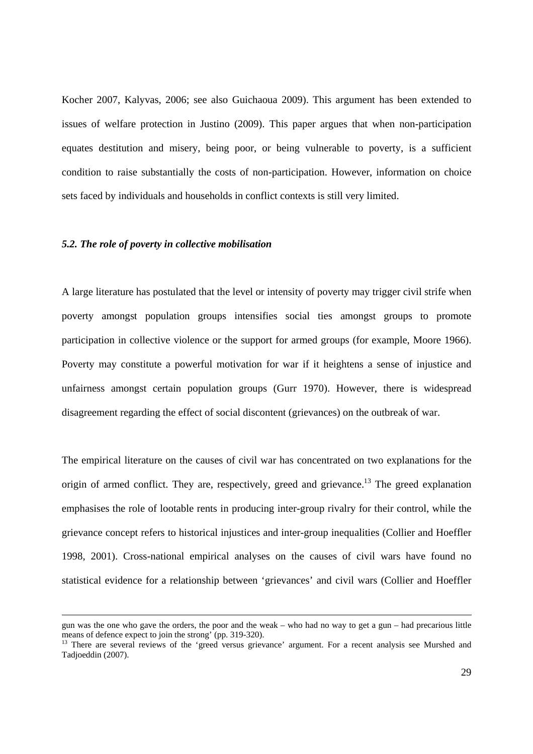Kocher 2007, Kalyvas, 2006; see also Guichaoua 2009). This argument has been extended to issues of welfare protection in Justino (2009). This paper argues that when non-participation equates destitution and misery, being poor, or being vulnerable to poverty, is a sufficient condition to raise substantially the costs of non-participation. However, information on choice sets faced by individuals and households in conflict contexts is still very limited.

# *5.2. The role of poverty in collective mobilisation*

A large literature has postulated that the level or intensity of poverty may trigger civil strife when poverty amongst population groups intensifies social ties amongst groups to promote participation in collective violence or the support for armed groups (for example, Moore 1966). Poverty may constitute a powerful motivation for war if it heightens a sense of injustice and unfairness amongst certain population groups (Gurr 1970). However, there is widespread disagreement regarding the effect of social discontent (grievances) on the outbreak of war.

The empirical literature on the causes of civil war has concentrated on two explanations for the origin of armed conflict. They are, respectively, greed and grievance.<sup>13</sup> The greed explanation emphasises the role of lootable rents in producing inter-group rivalry for their control, while the grievance concept refers to historical injustices and inter-group inequalities (Collier and Hoeffler 1998, 2001). Cross-national empirical analyses on the causes of civil wars have found no statistical evidence for a relationship between 'grievances' and civil wars (Collier and Hoeffler

gun was the one who gave the orders, the poor and the weak – who had no way to get a gun – had precarious little means of defence expect to join the strong' (pp. 319-320).

<sup>&</sup>lt;sup>13</sup> There are several reviews of the 'greed versus grievance' argument. For a recent analysis see Murshed and Tadjoeddin (2007).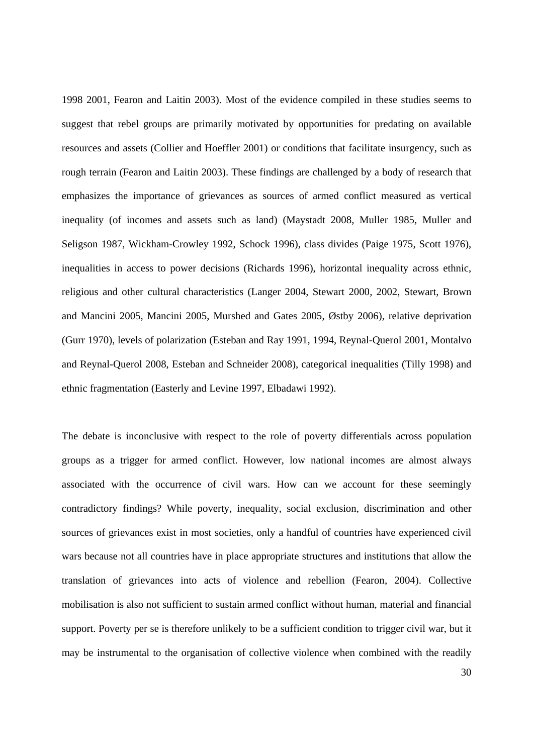1998 2001, Fearon and Laitin 2003). Most of the evidence compiled in these studies seems to suggest that rebel groups are primarily motivated by opportunities for predating on available resources and assets (Collier and Hoeffler 2001) or conditions that facilitate insurgency, such as rough terrain (Fearon and Laitin 2003). These findings are challenged by a body of research that emphasizes the importance of grievances as sources of armed conflict measured as vertical inequality (of incomes and assets such as land) (Maystadt 2008, Muller 1985, Muller and Seligson 1987, Wickham-Crowley 1992, Schock 1996), class divides (Paige 1975, Scott 1976), inequalities in access to power decisions (Richards 1996), horizontal inequality across ethnic, religious and other cultural characteristics (Langer 2004, Stewart 2000, 2002, Stewart, Brown and Mancini 2005, Mancini 2005, Murshed and Gates 2005, Østby 2006), relative deprivation (Gurr 1970), levels of polarization (Esteban and Ray 1991, 1994, Reynal-Querol 2001, Montalvo and Reynal-Querol 2008, Esteban and Schneider 2008), categorical inequalities (Tilly 1998) and ethnic fragmentation (Easterly and Levine 1997, Elbadawi 1992).

The debate is inconclusive with respect to the role of poverty differentials across population groups as a trigger for armed conflict. However, low national incomes are almost always associated with the occurrence of civil wars. How can we account for these seemingly contradictory findings? While poverty, inequality, social exclusion, discrimination and other sources of grievances exist in most societies, only a handful of countries have experienced civil wars because not all countries have in place appropriate structures and institutions that allow the translation of grievances into acts of violence and rebellion (Fearon, 2004). Collective mobilisation is also not sufficient to sustain armed conflict without human, material and financial support. Poverty per se is therefore unlikely to be a sufficient condition to trigger civil war, but it may be instrumental to the organisation of collective violence when combined with the readily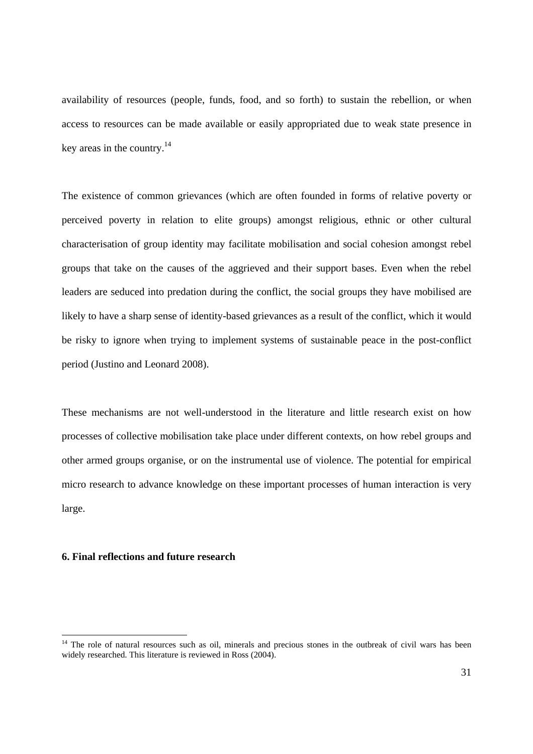availability of resources (people, funds, food, and so forth) to sustain the rebellion, or when access to resources can be made available or easily appropriated due to weak state presence in key areas in the country. $^{14}$ 

The existence of common grievances (which are often founded in forms of relative poverty or perceived poverty in relation to elite groups) amongst religious, ethnic or other cultural characterisation of group identity may facilitate mobilisation and social cohesion amongst rebel groups that take on the causes of the aggrieved and their support bases. Even when the rebel leaders are seduced into predation during the conflict, the social groups they have mobilised are likely to have a sharp sense of identity-based grievances as a result of the conflict, which it would be risky to ignore when trying to implement systems of sustainable peace in the post-conflict period (Justino and Leonard 2008).

These mechanisms are not well-understood in the literature and little research exist on how processes of collective mobilisation take place under different contexts, on how rebel groups and other armed groups organise, or on the instrumental use of violence. The potential for empirical micro research to advance knowledge on these important processes of human interaction is very large.

# **6. Final reflections and future research**

 $\overline{a}$ 

 $14$  The role of natural resources such as oil, minerals and precious stones in the outbreak of civil wars has been widely researched. This literature is reviewed in Ross (2004).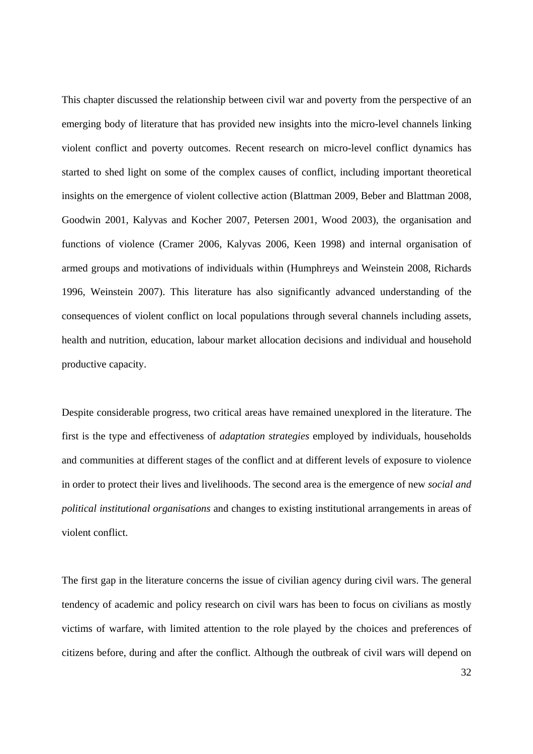This chapter discussed the relationship between civil war and poverty from the perspective of an emerging body of literature that has provided new insights into the micro-level channels linking violent conflict and poverty outcomes. Recent research on micro-level conflict dynamics has started to shed light on some of the complex causes of conflict, including important theoretical insights on the emergence of violent collective action (Blattman 2009, Beber and Blattman 2008, Goodwin 2001, Kalyvas and Kocher 2007, Petersen 2001, Wood 2003), the organisation and functions of violence (Cramer 2006, Kalyvas 2006, Keen 1998) and internal organisation of armed groups and motivations of individuals within (Humphreys and Weinstein 2008, Richards 1996, Weinstein 2007). This literature has also significantly advanced understanding of the consequences of violent conflict on local populations through several channels including assets, health and nutrition, education, labour market allocation decisions and individual and household productive capacity.

Despite considerable progress, two critical areas have remained unexplored in the literature. The first is the type and effectiveness of *adaptation strategies* employed by individuals, households and communities at different stages of the conflict and at different levels of exposure to violence in order to protect their lives and livelihoods. The second area is the emergence of new *social and political institutional organisations* and changes to existing institutional arrangements in areas of violent conflict.

The first gap in the literature concerns the issue of civilian agency during civil wars. The general tendency of academic and policy research on civil wars has been to focus on civilians as mostly victims of warfare, with limited attention to the role played by the choices and preferences of citizens before, during and after the conflict. Although the outbreak of civil wars will depend on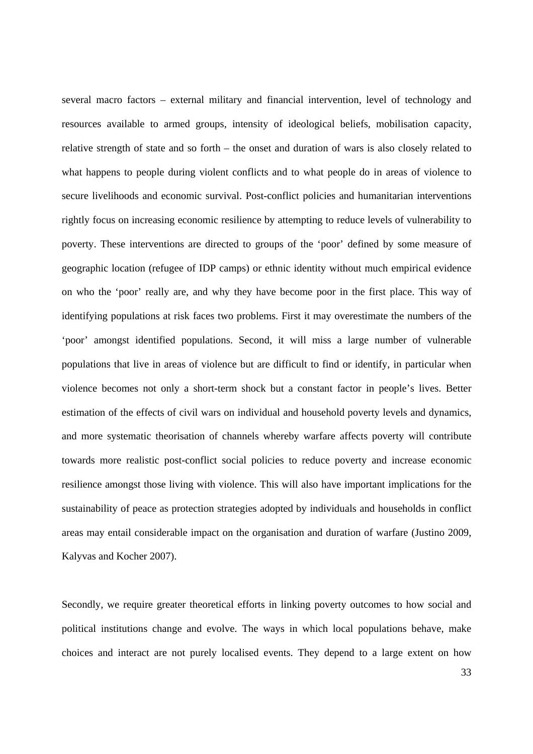several macro factors – external military and financial intervention, level of technology and resources available to armed groups, intensity of ideological beliefs, mobilisation capacity, relative strength of state and so forth – the onset and duration of wars is also closely related to what happens to people during violent conflicts and to what people do in areas of violence to secure livelihoods and economic survival. Post-conflict policies and humanitarian interventions rightly focus on increasing economic resilience by attempting to reduce levels of vulnerability to poverty. These interventions are directed to groups of the 'poor' defined by some measure of geographic location (refugee of IDP camps) or ethnic identity without much empirical evidence on who the 'poor' really are, and why they have become poor in the first place. This way of identifying populations at risk faces two problems. First it may overestimate the numbers of the 'poor' amongst identified populations. Second, it will miss a large number of vulnerable populations that live in areas of violence but are difficult to find or identify, in particular when violence becomes not only a short-term shock but a constant factor in people's lives. Better estimation of the effects of civil wars on individual and household poverty levels and dynamics, and more systematic theorisation of channels whereby warfare affects poverty will contribute towards more realistic post-conflict social policies to reduce poverty and increase economic resilience amongst those living with violence. This will also have important implications for the sustainability of peace as protection strategies adopted by individuals and households in conflict areas may entail considerable impact on the organisation and duration of warfare (Justino 2009, Kalyvas and Kocher 2007).

Secondly, we require greater theoretical efforts in linking poverty outcomes to how social and political institutions change and evolve. The ways in which local populations behave, make choices and interact are not purely localised events. They depend to a large extent on how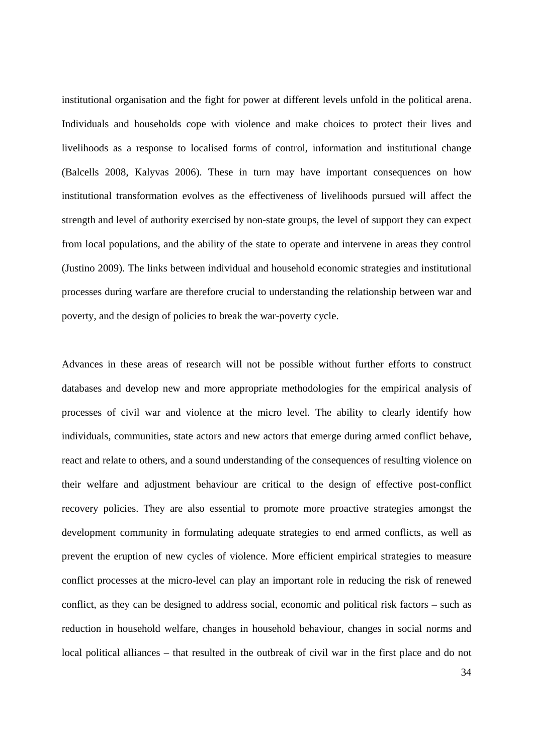institutional organisation and the fight for power at different levels unfold in the political arena. Individuals and households cope with violence and make choices to protect their lives and livelihoods as a response to localised forms of control, information and institutional change (Balcells 2008, Kalyvas 2006). These in turn may have important consequences on how institutional transformation evolves as the effectiveness of livelihoods pursued will affect the strength and level of authority exercised by non-state groups, the level of support they can expect from local populations, and the ability of the state to operate and intervene in areas they control (Justino 2009). The links between individual and household economic strategies and institutional processes during warfare are therefore crucial to understanding the relationship between war and poverty, and the design of policies to break the war-poverty cycle.

Advances in these areas of research will not be possible without further efforts to construct databases and develop new and more appropriate methodologies for the empirical analysis of processes of civil war and violence at the micro level. The ability to clearly identify how individuals, communities, state actors and new actors that emerge during armed conflict behave, react and relate to others, and a sound understanding of the consequences of resulting violence on their welfare and adjustment behaviour are critical to the design of effective post-conflict recovery policies. They are also essential to promote more proactive strategies amongst the development community in formulating adequate strategies to end armed conflicts, as well as prevent the eruption of new cycles of violence. More efficient empirical strategies to measure conflict processes at the micro-level can play an important role in reducing the risk of renewed conflict, as they can be designed to address social, economic and political risk factors – such as reduction in household welfare, changes in household behaviour, changes in social norms and local political alliances – that resulted in the outbreak of civil war in the first place and do not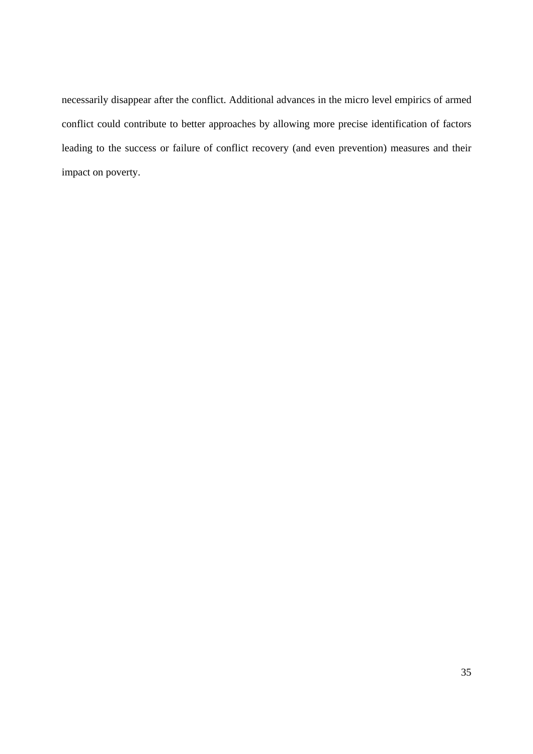necessarily disappear after the conflict. Additional advances in the micro level empirics of armed conflict could contribute to better approaches by allowing more precise identification of factors leading to the success or failure of conflict recovery (and even prevention) measures and their impact on poverty.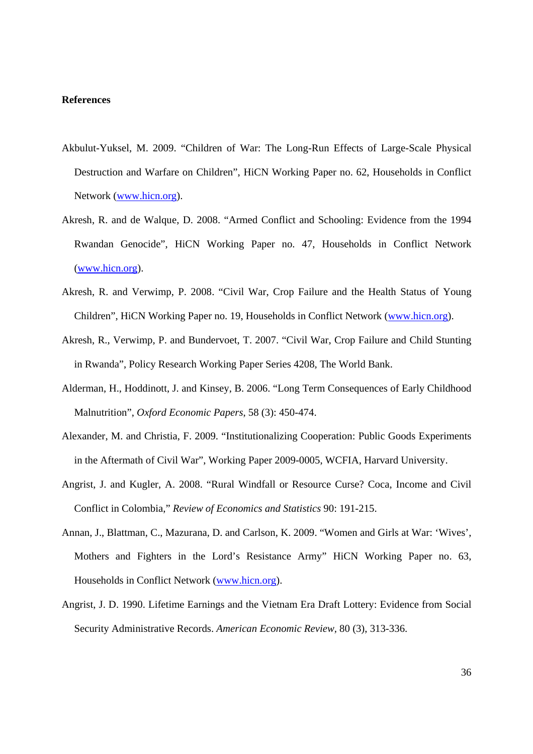#### **References**

- Akbulut-Yuksel, M. 2009. "Children of War: The Long-Run Effects of Large-Scale Physical Destruction and Warfare on Children", HiCN Working Paper no. 62, Households in Conflict Network (www.hicn.org).
- Akresh, R. and de Walque, D. 2008. "Armed Conflict and Schooling: Evidence from the 1994 Rwandan Genocide", HiCN Working Paper no. 47, Households in Conflict Network (www.hicn.org).
- Akresh, R. and Verwimp, P. 2008. "Civil War, Crop Failure and the Health Status of Young Children", HiCN Working Paper no. 19, Households in Conflict Network (www.hicn.org).
- Akresh, R., Verwimp, P. and Bundervoet, T. 2007. "Civil War, Crop Failure and Child Stunting in Rwanda", Policy Research Working Paper Series 4208*,* The World Bank.
- Alderman, H., Hoddinott, J. and Kinsey, B. 2006. "Long Term Consequences of Early Childhood Malnutrition", *Oxford Economic Papers*, 58 (3): 450-474.
- Alexander, M. and Christia, F. 2009. "Institutionalizing Cooperation: Public Goods Experiments in the Aftermath of Civil War", Working Paper 2009-0005, WCFIA, Harvard University.
- Angrist, J. and Kugler, A. 2008. "Rural Windfall or Resource Curse? Coca, Income and Civil Conflict in Colombia," *Review of Economics and Statistics* 90: 191-215.
- Annan, J., Blattman, C., Mazurana, D. and Carlson, K. 2009. "Women and Girls at War: 'Wives', Mothers and Fighters in the Lord's Resistance Army" HiCN Working Paper no. 63, Households in Conflict Network (www.hicn.org).
- Angrist, J. D. 1990. Lifetime Earnings and the Vietnam Era Draft Lottery: Evidence from Social Security Administrative Records. *American Economic Review,* 80 (3), 313-336.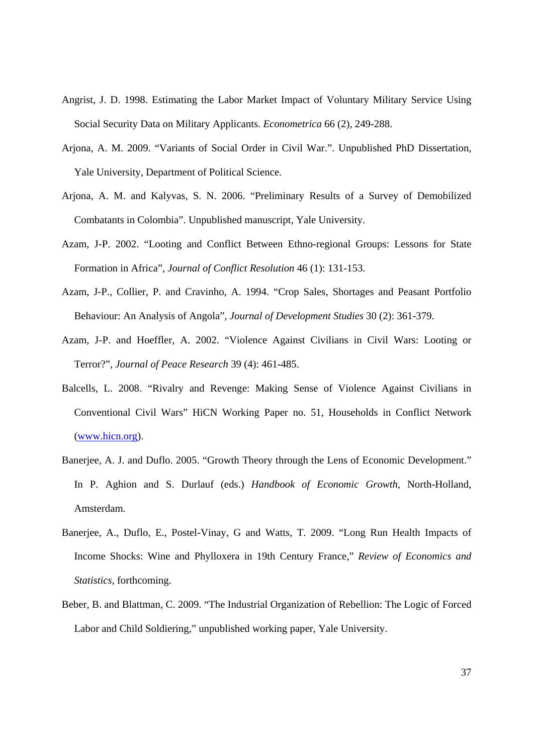- Angrist, J. D. 1998. Estimating the Labor Market Impact of Voluntary Military Service Using Social Security Data on Military Applicants. *Econometrica* 66 (2), 249-288.
- Arjona, A. M. 2009. "Variants of Social Order in Civil War.". Unpublished PhD Dissertation, Yale University, Department of Political Science.
- Arjona, A. M. and Kalyvas, S. N. 2006. "Preliminary Results of a Survey of Demobilized Combatants in Colombia". Unpublished manuscript, Yale University.
- Azam, J-P. 2002. "Looting and Conflict Between Ethno-regional Groups: Lessons for State Formation in Africa", *Journal of Conflict Resolution* 46 (1): 131-153.
- Azam, J-P., Collier, P. and Cravinho, A. 1994. "Crop Sales, Shortages and Peasant Portfolio Behaviour: An Analysis of Angola", *Journal of Development Studies* 30 (2): 361-379.
- Azam, J-P. and Hoeffler, A. 2002. "Violence Against Civilians in Civil Wars: Looting or Terror?", *Journal of Peace Research* 39 (4): 461-485.
- Balcells, L. 2008. "Rivalry and Revenge: Making Sense of Violence Against Civilians in Conventional Civil Wars" HiCN Working Paper no. 51, Households in Conflict Network (www.hicn.org).
- Banerjee, A. J. and Duflo. 2005. "Growth Theory through the Lens of Economic Development." In P. Aghion and S. Durlauf (eds.) *Handbook of Economic Growth*, North-Holland, Amsterdam.
- Banerjee, A., Duflo, E., Postel-Vinay, G and Watts, T. 2009. "Long Run Health Impacts of Income Shocks: Wine and Phylloxera in 19th Century France," *Review of Economics and Statistics,* forthcoming.
- Beber, B. and Blattman, C. 2009. "The Industrial Organization of Rebellion: The Logic of Forced Labor and Child Soldiering," unpublished working paper, Yale University.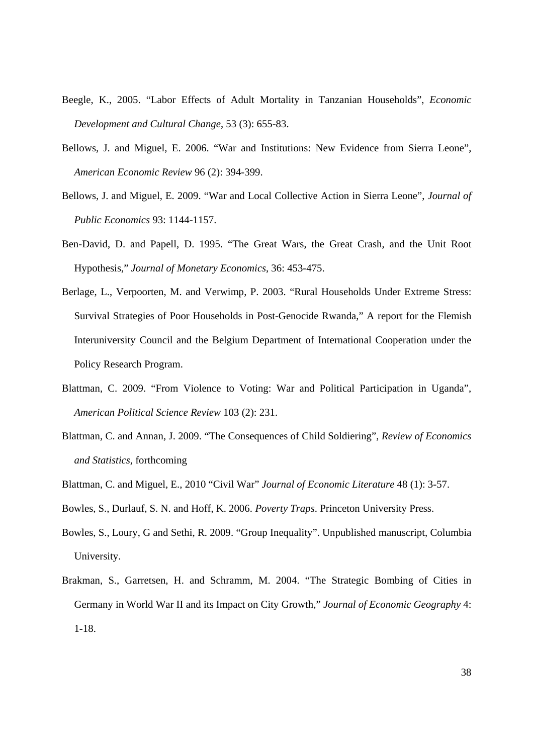- Beegle, K., 2005. "Labor Effects of Adult Mortality in Tanzanian Households", *Economic Development and Cultural Change*, 53 (3): 655-83.
- Bellows, J. and Miguel, E. 2006. "War and Institutions: New Evidence from Sierra Leone", *American Economic Review* 96 (2): 394-399.
- Bellows, J. and Miguel, E. 2009. "War and Local Collective Action in Sierra Leone", *Journal of Public Economics* 93: 1144-1157.
- Ben-David, D. and Papell, D. 1995. "The Great Wars, the Great Crash, and the Unit Root Hypothesis," *Journal of Monetary Economics*, 36: 453-475.
- Berlage, L., Verpoorten, M. and Verwimp, P. 2003. "Rural Households Under Extreme Stress: Survival Strategies of Poor Households in Post-Genocide Rwanda," A report for the Flemish Interuniversity Council and the Belgium Department of International Cooperation under the Policy Research Program.
- Blattman, C. 2009. "From Violence to Voting: War and Political Participation in Uganda", *American Political Science Review* 103 (2): 231.
- Blattman, C. and Annan, J. 2009. "The Consequences of Child Soldiering", *Review of Economics and Statistics*, forthcoming
- Blattman, C. and Miguel, E., 2010 "Civil War" *Journal of Economic Literature* 48 (1): 3-57.
- Bowles, S., Durlauf, S. N. and Hoff, K. 2006. *Poverty Traps*. Princeton University Press.
- Bowles, S., Loury, G and Sethi, R. 2009. "Group Inequality". Unpublished manuscript, Columbia University.
- Brakman, S., Garretsen, H. and Schramm, M. 2004. "The Strategic Bombing of Cities in Germany in World War II and its Impact on City Growth," *Journal of Economic Geography* 4: 1-18.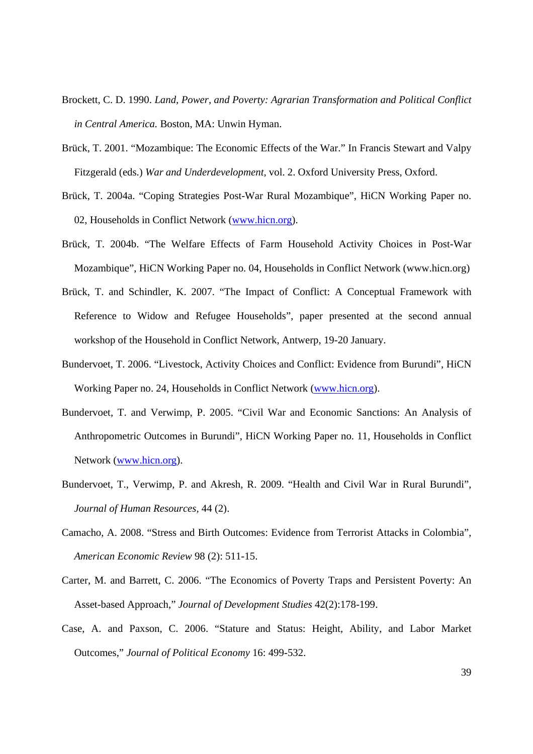- Brockett, C. D. 1990. *Land, Power, and Poverty: Agrarian Transformation and Political Conflict in Central America.* Boston, MA: Unwin Hyman.
- Brück, T. 2001. "Mozambique: The Economic Effects of the War." In Francis Stewart and Valpy Fitzgerald (eds.) *War and Underdevelopment,* vol. 2. Oxford University Press, Oxford.
- Brück, T. 2004a. "Coping Strategies Post-War Rural Mozambique", HiCN Working Paper no. 02, Households in Conflict Network (www.hicn.org).
- Brück, T. 2004b. "The Welfare Effects of Farm Household Activity Choices in Post-War Mozambique", HiCN Working Paper no. 04, Households in Conflict Network (www.hicn.org)
- Brück, T. and Schindler, K. 2007. "The Impact of Conflict: A Conceptual Framework with Reference to Widow and Refugee Households", paper presented at the second annual workshop of the Household in Conflict Network, Antwerp, 19-20 January.
- Bundervoet, T. 2006. "Livestock, Activity Choices and Conflict: Evidence from Burundi", HiCN Working Paper no. 24, Households in Conflict Network (www.hicn.org).
- Bundervoet, T. and Verwimp, P. 2005. "Civil War and Economic Sanctions: An Analysis of Anthropometric Outcomes in Burundi", HiCN Working Paper no. 11, Households in Conflict Network (www.hicn.org).
- Bundervoet, T., Verwimp, P. and Akresh, R. 2009. "Health and Civil War in Rural Burundi", *Journal of Human Resources*, 44 (2).
- Camacho, A. 2008. "Stress and Birth Outcomes: Evidence from Terrorist Attacks in Colombia", *American Economic Review* 98 (2): 511-15.
- Carter, M. and Barrett, C. 2006. "The Economics of Poverty Traps and Persistent Poverty: An Asset-based Approach," *Journal of Development Studies* 42(2):178-199.
- Case, A. and Paxson, C. 2006. "Stature and Status: Height, Ability, and Labor Market Outcomes," *Journal of Political Economy* 16: 499-532.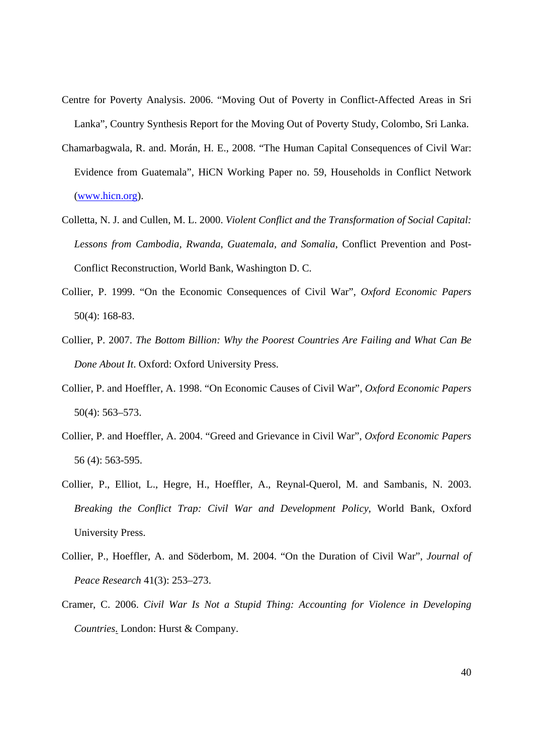- Centre for Poverty Analysis. 2006. "Moving Out of Poverty in Conflict-Affected Areas in Sri Lanka", Country Synthesis Report for the Moving Out of Poverty Study, Colombo, Sri Lanka.
- Chamarbagwala, R. and. Morán, H. E., 2008. "The Human Capital Consequences of Civil War: Evidence from Guatemala", HiCN Working Paper no. 59, Households in Conflict Network (www.hicn.org).
- Colletta, N. J. and Cullen, M. L. 2000. *Violent Conflict and the Transformation of Social Capital: Lessons from Cambodia, Rwanda, Guatemala, and Somalia*, Conflict Prevention and Post-Conflict Reconstruction, World Bank, Washington D. C.
- Collier, P. 1999. "On the Economic Consequences of Civil War", *Oxford Economic Papers*  50(4): 168-83.
- Collier, P. 2007. *The Bottom Billion: Why the Poorest Countries Are Failing and What Can Be Done About It*. Oxford: Oxford University Press.
- Collier, P. and Hoeffler, A. 1998. "On Economic Causes of Civil War", *Oxford Economic Papers*  50(4): 563–573.
- Collier, P. and Hoeffler, A. 2004. "Greed and Grievance in Civil War", *Oxford Economic Papers* 56 (4): 563-595.
- Collier, P., Elliot, L., Hegre, H., Hoeffler, A., Reynal-Querol, M. and Sambanis, N. 2003. *Breaking the Conflict Trap: Civil War and Development Policy*, World Bank, Oxford University Press.
- Collier, P., Hoeffler, A. and Söderbom, M. 2004. "On the Duration of Civil War", *Journal of Peace Research* 41(3): 253–273.
- Cramer, C. 2006. *Civil War Is Not a Stupid Thing: Accounting for Violence in Developing Countries.* London: Hurst & Company.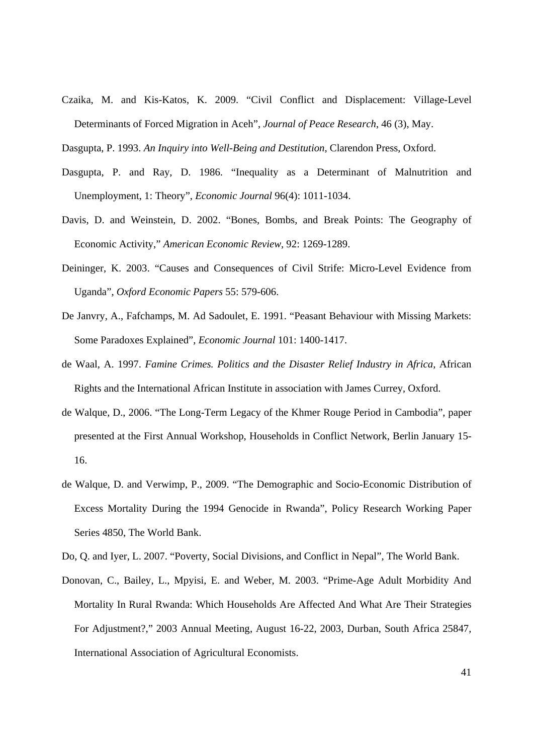Czaika, M. and Kis-Katos, K. 2009. "Civil Conflict and Displacement: Village-Level Determinants of Forced Migration in Aceh", *Journal of Peace Research*, 46 (3), May.

Dasgupta, P. 1993. *An Inquiry into Well-Being and Destitution*, Clarendon Press, Oxford.

- Dasgupta, P. and Ray, D. 1986. "Inequality as a Determinant of Malnutrition and Unemployment, 1: Theory", *Economic Journal* 96(4): 1011-1034.
- Davis, D. and Weinstein, D. 2002. "Bones, Bombs, and Break Points: The Geography of Economic Activity," *American Economic Review*, 92: 1269-1289.
- Deininger, K. 2003. "Causes and Consequences of Civil Strife: Micro-Level Evidence from Uganda", *Oxford Economic Papers* 55: 579-606.
- De Janvry, A., Fafchamps, M. Ad Sadoulet, E. 1991. "Peasant Behaviour with Missing Markets: Some Paradoxes Explained", *Economic Journal* 101: 1400-1417.
- de Waal, A. 1997. *Famine Crimes. Politics and the Disaster Relief Industry in Africa*, African Rights and the International African Institute in association with James Currey, Oxford.
- de Walque, D., 2006. "The Long-Term Legacy of the Khmer Rouge Period in Cambodia", paper presented at the First Annual Workshop, Households in Conflict Network, Berlin January 15- 16.
- de Walque, D. and Verwimp, P., 2009. "The Demographic and Socio-Economic Distribution of Excess Mortality During the 1994 Genocide in Rwanda", Policy Research Working Paper Series 4850, The World Bank.
- Do, Q. and Iyer, L. 2007. "Poverty, Social Divisions, and Conflict in Nepal", The World Bank.
- Donovan, C., Bailey, L., Mpyisi, E. and Weber, M. 2003. "Prime-Age Adult Morbidity And Mortality In Rural Rwanda: Which Households Are Affected And What Are Their Strategies For Adjustment?," 2003 Annual Meeting, August 16-22, 2003, Durban, South Africa 25847, International Association of Agricultural Economists.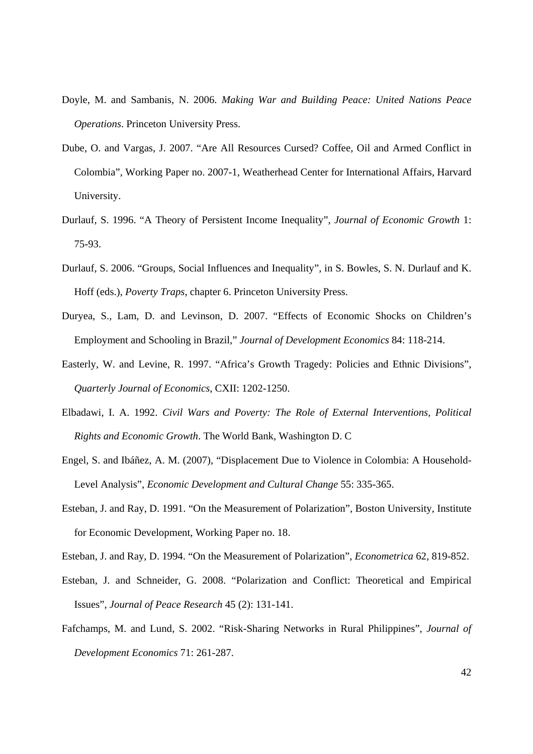- Doyle, M. and Sambanis, N. 2006. *Making War and Building Peace: United Nations Peace Operations*. Princeton University Press.
- Dube, O. and Vargas, J. 2007. "Are All Resources Cursed? Coffee, Oil and Armed Conflict in Colombia", Working Paper no. 2007-1, Weatherhead Center for International Affairs, Harvard University.
- Durlauf, S. 1996. "A Theory of Persistent Income Inequality", *Journal of Economic Growth* 1: 75-93.
- Durlauf, S. 2006. "Groups, Social Influences and Inequality", in S. Bowles, S. N. Durlauf and K. Hoff (eds.), *Poverty Traps*, chapter 6. Princeton University Press.
- Duryea, S., Lam, D. and Levinson, D. 2007. "Effects of Economic Shocks on Children's Employment and Schooling in Brazil," *Journal of Development Economics* 84: 118-214.
- Easterly, W. and Levine, R. 1997. "Africa's Growth Tragedy: Policies and Ethnic Divisions", *Quarterly Journal of Economics*, CXII: 1202-1250.
- Elbadawi, I. A. 1992. *Civil Wars and Poverty: The Role of External Interventions, Political Rights and Economic Growth*. The World Bank, Washington D. C
- Engel, S. and Ibáñez, A. M. (2007), "Displacement Due to Violence in Colombia: A Household-Level Analysis", *Economic Development and Cultural Change* 55: 335-365.
- Esteban, J. and Ray, D. 1991. "On the Measurement of Polarization", Boston University, Institute for Economic Development, Working Paper no. 18.
- Esteban, J. and Ray, D. 1994. "On the Measurement of Polarization", *Econometrica* 62, 819-852.
- Esteban, J. and Schneider, G. 2008. "Polarization and Conflict: Theoretical and Empirical Issues", *Journal of Peace Research* 45 (2): 131-141.
- Fafchamps, M. and Lund, S. 2002. "Risk-Sharing Networks in Rural Philippines", *Journal of Development Economics* 71: 261-287.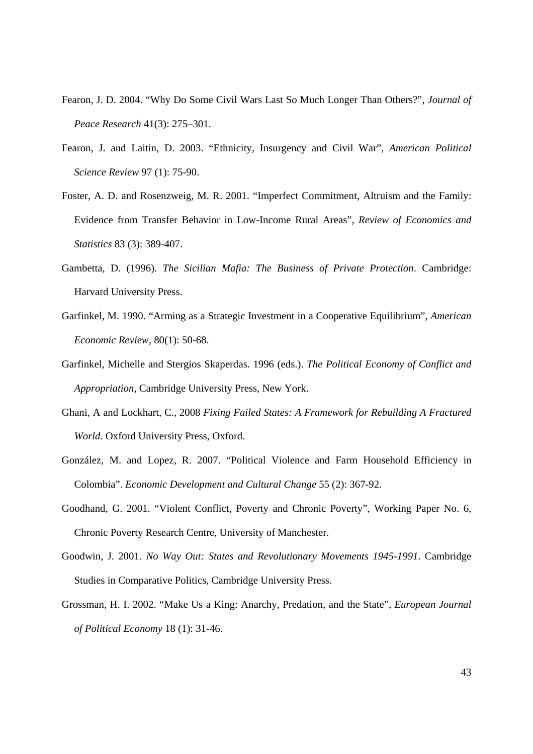- Fearon, J. D. 2004. "Why Do Some Civil Wars Last So Much Longer Than Others?", *Journal of Peace Research* 41(3): 275–301.
- Fearon, J. and Laitin, D. 2003. "Ethnicity, Insurgency and Civil War", *American Political Science Review* 97 (1): 75-90.
- Foster, A. D. and Rosenzweig, M. R. 2001. "Imperfect Commitment, Altruism and the Family: Evidence from Transfer Behavior in Low-Income Rural Areas", *Review of Economics and Statistics* 83 (3): 389-407.
- Gambetta, D. (1996). *The Sicilian Mafia: The Business of Private Protection*. Cambridge: Harvard University Press.
- Garfinkel, M. 1990. "Arming as a Strategic Investment in a Cooperative Equilibrium", *American Economic Review*, 80(1): 50-68.
- Garfinkel, Michelle and Stergios Skaperdas. 1996 (eds.). *The Political Economy of Conflict and Appropriation*, Cambridge University Press, New York.
- Ghani, A and Lockhart, C., 2008 *Fixing Failed States: A Framework for Rebuilding A Fractured World.* Oxford University Press, Oxford.
- González, M. and Lopez, R. 2007. "Political Violence and Farm Household Efficiency in Colombia". *Economic Development and Cultural Change* 55 (2): 367-92.
- Goodhand, G. 2001. "Violent Conflict, Poverty and Chronic Poverty", Working Paper No. 6, Chronic Poverty Research Centre, University of Manchester.
- Goodwin, J. 2001. *No Way Out: States and Revolutionary Movements 1945-1991*. Cambridge Studies in Comparative Politics, Cambridge University Press.
- Grossman, H. I. 2002. "Make Us a King: Anarchy, Predation, and the State", *European Journal of Political Economy* 18 (1): 31-46.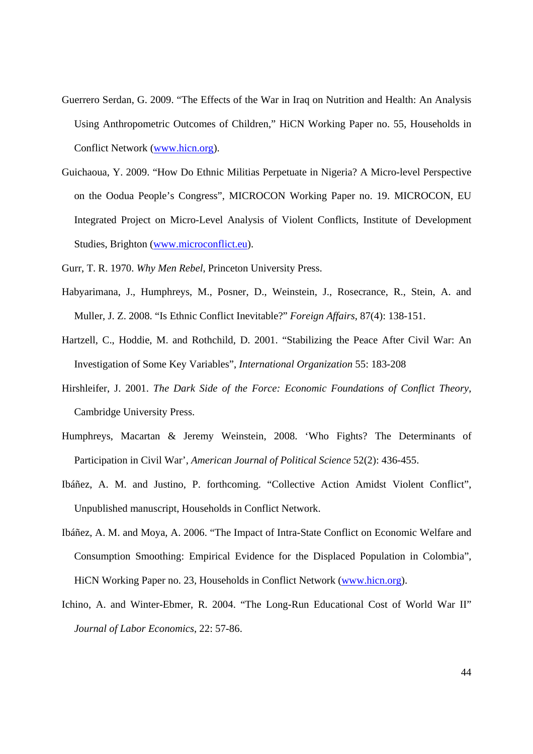- Guerrero Serdan, G. 2009. "The Effects of the War in Iraq on Nutrition and Health: An Analysis Using Anthropometric Outcomes of Children," HiCN Working Paper no. 55, Households in Conflict Network (www.hicn.org).
- Guichaoua, Y. 2009. "How Do Ethnic Militias Perpetuate in Nigeria? A Micro-level Perspective on the Oodua People's Congress", MICROCON Working Paper no. 19. MICROCON, EU Integrated Project on Micro-Level Analysis of Violent Conflicts, Institute of Development Studies, Brighton (www.microconflict.eu).
- Gurr, T. R. 1970. *Why Men Rebel*, Princeton University Press.
- Habyarimana, J., Humphreys, M., Posner, D., Weinstein, J., Rosecrance, R., Stein, A. and Muller, J. Z. 2008. "Is Ethnic Conflict Inevitable?" *Foreign Affairs*, 87(4): 138-151.
- Hartzell, C., Hoddie, M. and Rothchild, D. 2001. "Stabilizing the Peace After Civil War: An Investigation of Some Key Variables", *International Organization* 55: 183-208
- Hirshleifer, J. 2001. *The Dark Side of the Force: Economic Foundations of Conflict Theory*, Cambridge University Press.
- Humphreys, Macartan & Jeremy Weinstein, 2008. 'Who Fights? The Determinants of Participation in Civil War', *American Journal of Political Science* 52(2): 436-455.
- Ibáñez, A. M. and Justino, P. forthcoming. "Collective Action Amidst Violent Conflict", Unpublished manuscript, Households in Conflict Network.
- Ibáñez, A. M. and Moya, A. 2006. "The Impact of Intra-State Conflict on Economic Welfare and Consumption Smoothing: Empirical Evidence for the Displaced Population in Colombia", HiCN Working Paper no. 23, Households in Conflict Network (www.hicn.org).
- Ichino, A. and Winter-Ebmer, R. 2004. "The Long-Run Educational Cost of World War II" *Journal of Labor Economics*, 22: 57-86.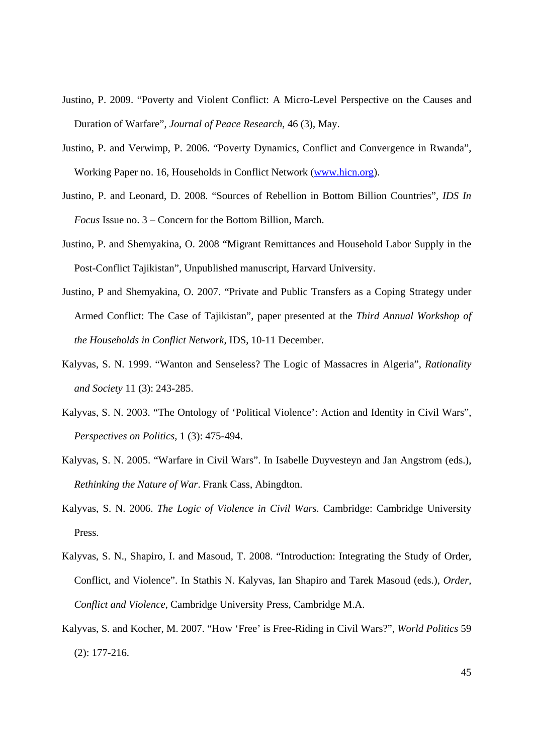- Justino, P. 2009. "Poverty and Violent Conflict: A Micro-Level Perspective on the Causes and Duration of Warfare", *Journal of Peace Research*, 46 (3), May.
- Justino, P. and Verwimp, P. 2006. "Poverty Dynamics, Conflict and Convergence in Rwanda", Working Paper no. 16, Households in Conflict Network (www.hicn.org).
- Justino, P. and Leonard, D. 2008. "Sources of Rebellion in Bottom Billion Countries", *IDS In Focus* Issue no. 3 – Concern for the Bottom Billion, March.
- Justino, P. and Shemyakina, O. 2008 "Migrant Remittances and Household Labor Supply in the Post-Conflict Tajikistan", Unpublished manuscript, Harvard University.
- Justino, P and Shemyakina, O. 2007. "Private and Public Transfers as a Coping Strategy under Armed Conflict: The Case of Tajikistan", paper presented at the *Third Annual Workshop of the Households in Conflict Network*, IDS, 10-11 December.
- Kalyvas, S. N. 1999. "Wanton and Senseless? The Logic of Massacres in Algeria", *Rationality and Society* 11 (3): 243-285.
- Kalyvas, S. N. 2003. "The Ontology of 'Political Violence': Action and Identity in Civil Wars", *Perspectives on Politics*, 1 (3): 475-494.
- Kalyvas, S. N. 2005. "Warfare in Civil Wars". In Isabelle Duyvesteyn and Jan Angstrom (eds.), *Rethinking the Nature of War*. Frank Cass, Abingdton.
- Kalyvas, S. N. 2006. *The Logic of Violence in Civil Wars*. Cambridge: Cambridge University Press.
- Kalyvas, S. N., Shapiro, I. and Masoud, T. 2008. "Introduction: Integrating the Study of Order, Conflict, and Violence". In Stathis N. Kalyvas, Ian Shapiro and Tarek Masoud (eds.), *Order, Conflict and Violence*, Cambridge University Press, Cambridge M.A.
- Kalyvas, S. and Kocher, M. 2007. "How 'Free' is Free-Riding in Civil Wars?", *World Politics* 59 (2): 177-216.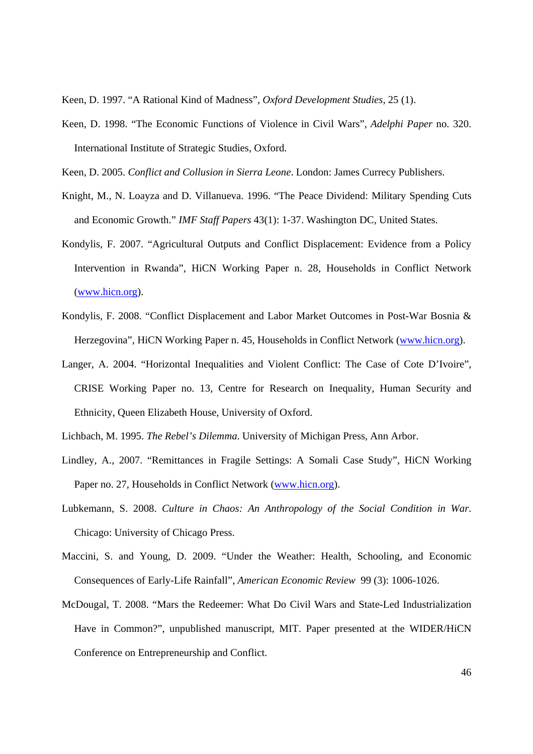Keen, D. 1997. "A Rational Kind of Madness", *Oxford Development Studies*, 25 (1).

- Keen, D. 1998. "The Economic Functions of Violence in Civil Wars", *Adelphi Paper* no. 320. International Institute of Strategic Studies, Oxford.
- Keen, D. 2005. *Conflict and Collusion in Sierra Leone*. London: James Currecy Publishers.
- Knight, M., N. Loayza and D. Villanueva. 1996. "The Peace Dividend: Military Spending Cuts and Economic Growth." *IMF Staff Papers* 43(1): 1-37. Washington DC, United States.
- Kondylis, F. 2007. "Agricultural Outputs and Conflict Displacement: Evidence from a Policy Intervention in Rwanda", HiCN Working Paper n. 28, Households in Conflict Network (www.hicn.org).
- Kondylis, F. 2008. "Conflict Displacement and Labor Market Outcomes in Post-War Bosnia & Herzegovina", HiCN Working Paper n. 45, Households in Conflict Network (www.hicn.org).
- Langer, A. 2004. "Horizontal Inequalities and Violent Conflict: The Case of Cote D'Ivoire", CRISE Working Paper no. 13, Centre for Research on Inequality, Human Security and Ethnicity, Queen Elizabeth House, University of Oxford.
- Lichbach, M. 1995. *The Rebel's Dilemma*. University of Michigan Press, Ann Arbor.
- Lindley, A., 2007. "Remittances in Fragile Settings: A Somali Case Study", HiCN Working Paper no. 27, Households in Conflict Network (www.hicn.org).
- Lubkemann, S. 2008. *Culture in Chaos: An Anthropology of the Social Condition in War*. Chicago: University of Chicago Press.
- Maccini, S. and Young, D. 2009. "Under the Weather: Health, Schooling, and Economic Consequences of Early-Life Rainfall", *American Economic Review* 99 (3): 1006-1026.
- McDougal, T. 2008. "Mars the Redeemer: What Do Civil Wars and State-Led Industrialization Have in Common?", unpublished manuscript, MIT. Paper presented at the WIDER/HiCN Conference on Entrepreneurship and Conflict.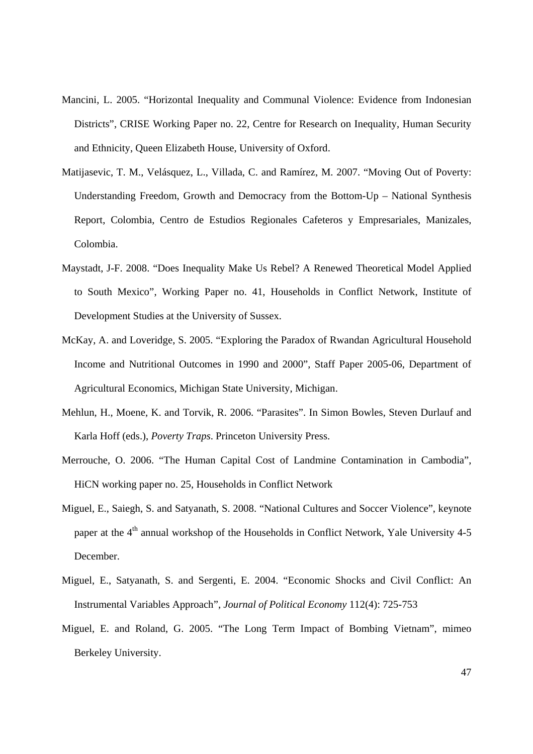- Mancini, L. 2005. "Horizontal Inequality and Communal Violence: Evidence from Indonesian Districts", CRISE Working Paper no. 22, Centre for Research on Inequality, Human Security and Ethnicity, Queen Elizabeth House, University of Oxford.
- Matijasevic, T. M., Velásquez, L., Villada, C. and Ramírez, M. 2007. "Moving Out of Poverty: Understanding Freedom, Growth and Democracy from the Bottom-Up – National Synthesis Report, Colombia, Centro de Estudios Regionales Cafeteros y Empresariales, Manizales, Colombia.
- Maystadt, J-F. 2008. "Does Inequality Make Us Rebel? A Renewed Theoretical Model Applied to South Mexico", Working Paper no. 41, Households in Conflict Network, Institute of Development Studies at the University of Sussex.
- McKay, A. and Loveridge, S. 2005. "Exploring the Paradox of Rwandan Agricultural Household Income and Nutritional Outcomes in 1990 and 2000", Staff Paper 2005-06, Department of Agricultural Economics, Michigan State University, Michigan.
- Mehlun, H., Moene, K. and Torvik, R. 2006. "Parasites". In Simon Bowles, Steven Durlauf and Karla Hoff (eds.), *Poverty Traps*. Princeton University Press.
- Merrouche, O. 2006. "The Human Capital Cost of Landmine Contamination in Cambodia", HiCN working paper no. 25, Households in Conflict Network
- Miguel, E., Saiegh, S. and Satyanath, S. 2008. "National Cultures and Soccer Violence", keynote paper at the 4<sup>th</sup> annual workshop of the Households in Conflict Network, Yale University 4-5 December.
- Miguel, E., Satyanath, S. and Sergenti, E. 2004. "Economic Shocks and Civil Conflict: An Instrumental Variables Approach", *Journal of Political Economy* 112(4): 725-753
- Miguel, E. and Roland, G. 2005. "The Long Term Impact of Bombing Vietnam", mimeo Berkeley University.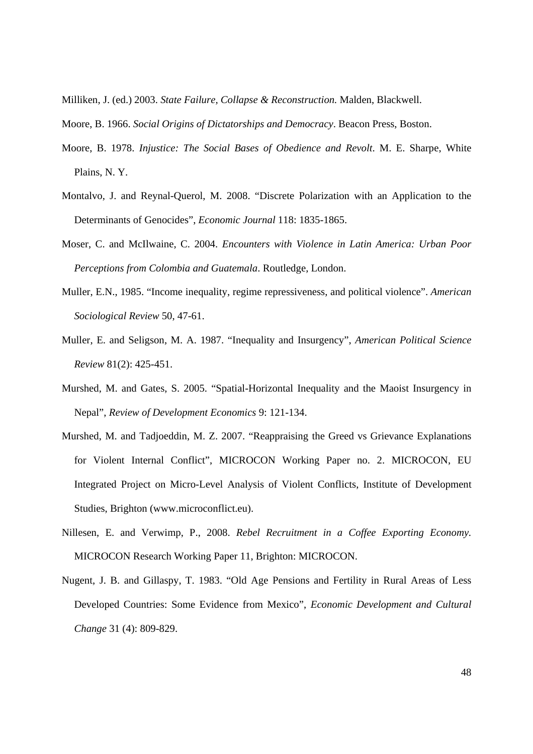Milliken, J. (ed.) 2003. *State Failure, Collapse & Reconstruction.* Malden, Blackwell.

Moore, B. 1966. *Social Origins of Dictatorships and Democracy*. Beacon Press, Boston.

- Moore, B. 1978. *Injustice: The Social Bases of Obedience and Revolt*. M. E. Sharpe, White Plains, N. Y.
- Montalvo, J. and Reynal-Querol, M. 2008. "Discrete Polarization with an Application to the Determinants of Genocides", *Economic Journal* 118: 1835-1865.
- Moser, C. and McIlwaine, C. 2004. *Encounters with Violence in Latin America: Urban Poor Perceptions from Colombia and Guatemala*. Routledge, London.
- Muller, E.N., 1985. "Income inequality, regime repressiveness, and political violence". *American Sociological Review* 50, 47-61.
- Muller, E. and Seligson, M. A. 1987. "Inequality and Insurgency", *American Political Science Review* 81(2): 425-451.
- Murshed, M. and Gates, S. 2005. "Spatial-Horizontal Inequality and the Maoist Insurgency in Nepal", *Review of Development Economics* 9: 121-134.
- Murshed, M. and Tadjoeddin, M. Z. 2007. "Reappraising the Greed vs Grievance Explanations for Violent Internal Conflict", MICROCON Working Paper no. 2. MICROCON, EU Integrated Project on Micro-Level Analysis of Violent Conflicts, Institute of Development Studies, Brighton (www.microconflict.eu).
- Nillesen, E. and Verwimp, P., 2008. *Rebel Recruitment in a Coffee Exporting Economy.*  MICROCON Research Working Paper 11, Brighton: MICROCON.
- Nugent, J. B. and Gillaspy, T. 1983. "Old Age Pensions and Fertility in Rural Areas of Less Developed Countries: Some Evidence from Mexico", *Economic Development and Cultural Change* 31 (4): 809-829.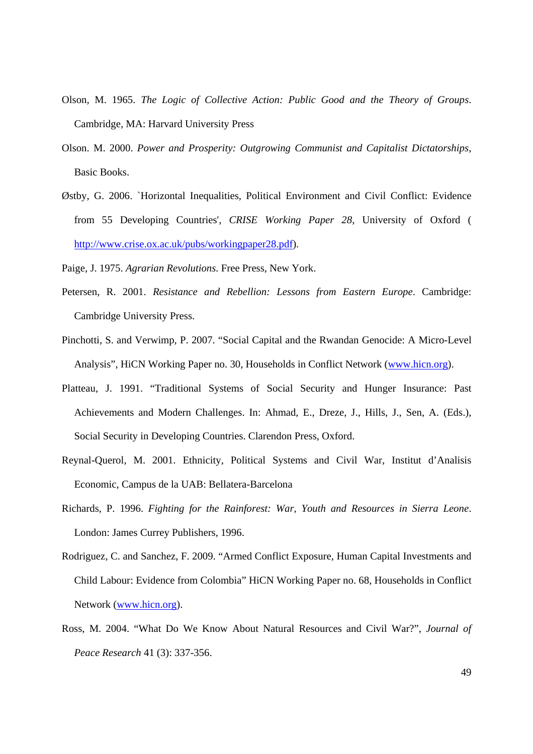- Olson, M. 1965. *The Logic of Collective Action: Public Good and the Theory of Groups*. Cambridge, MA: Harvard University Press
- Olson. M. 2000. *Power and Prosperity: Outgrowing Communist and Capitalist Dictatorships*, Basic Books.
- Østby, G. 2006. `Horizontal Inequalities, Political Environment and Civil Conflict: Evidence from 55 Developing Countries', *CRISE Working Paper 28*, University of Oxford ( http://www.crise.ox.ac.uk/pubs/workingpaper28.pdf).

Paige, J. 1975. *Agrarian Revolutions.* Free Press, New York.

- Petersen, R. 2001. *Resistance and Rebellion: Lessons from Eastern Europe*. Cambridge: Cambridge University Press.
- Pinchotti, S. and Verwimp, P. 2007. "Social Capital and the Rwandan Genocide: A Micro-Level Analysis", HiCN Working Paper no. 30, Households in Conflict Network (www.hicn.org).
- Platteau, J. 1991. "Traditional Systems of Social Security and Hunger Insurance: Past Achievements and Modern Challenges. In: Ahmad, E., Dreze, J., Hills, J., Sen, A. (Eds.), Social Security in Developing Countries. Clarendon Press, Oxford.
- Reynal-Querol, M. 2001. Ethnicity, Political Systems and Civil War, Institut d'Analisis Economic, Campus de la UAB: Bellatera-Barcelona
- Richards, P. 1996. *Fighting for the Rainforest: War, Youth and Resources in Sierra Leone*. London: James Currey Publishers, 1996.
- Rodriguez, C. and Sanchez, F. 2009. "Armed Conflict Exposure, Human Capital Investments and Child Labour: Evidence from Colombia" HiCN Working Paper no. 68, Households in Conflict Network (www.hicn.org).
- Ross, M. 2004. "What Do We Know About Natural Resources and Civil War?", *Journal of Peace Research* 41 (3): 337-356.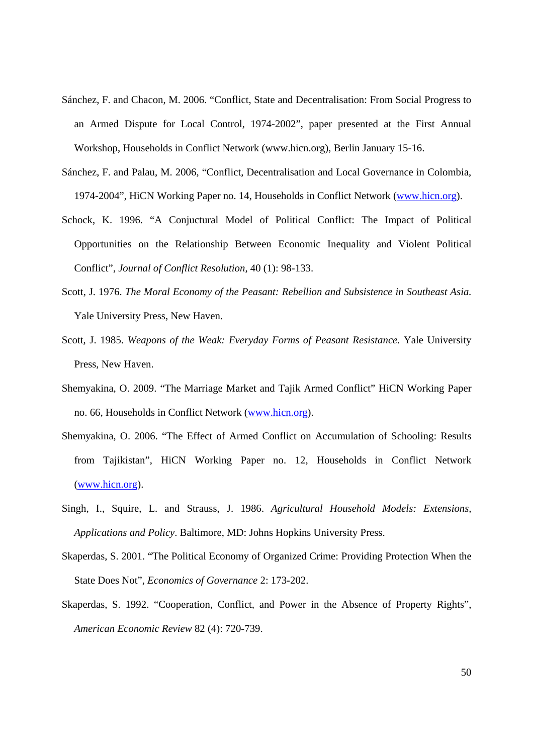- Sánchez, F. and Chacon, M. 2006. "Conflict, State and Decentralisation: From Social Progress to an Armed Dispute for Local Control, 1974-2002", paper presented at the First Annual Workshop, Households in Conflict Network (www.hicn.org), Berlin January 15-16.
- Sánchez, F. and Palau, M. 2006, "Conflict, Decentralisation and Local Governance in Colombia, 1974-2004", HiCN Working Paper no. 14, Households in Conflict Network (www.hicn.org).
- Schock, K. 1996. "A Conjuctural Model of Political Conflict: The Impact of Political Opportunities on the Relationship Between Economic Inequality and Violent Political Conflict", *Journal of Conflict Resolution*, 40 (1): 98-133.
- Scott, J. 1976. *The Moral Economy of the Peasant: Rebellion and Subsistence in Southeast Asia.*  Yale University Press, New Haven.
- Scott, J. 1985. *Weapons of the Weak: Everyday Forms of Peasant Resistance.* Yale University Press, New Haven.
- Shemyakina, O. 2009. "The Marriage Market and Tajik Armed Conflict" HiCN Working Paper no. 66, Households in Conflict Network (www.hicn.org).
- Shemyakina, O. 2006. "The Effect of Armed Conflict on Accumulation of Schooling: Results from Tajikistan", HiCN Working Paper no. 12, Households in Conflict Network (www.hicn.org).
- Singh, I., Squire, L. and Strauss, J. 1986. *Agricultural Household Models: Extensions, Applications and Policy*. Baltimore, MD: Johns Hopkins University Press.
- Skaperdas, S. 2001. "The Political Economy of Organized Crime: Providing Protection When the State Does Not", *Economics of Governance* 2: 173-202.
- Skaperdas, S. 1992. "Cooperation, Conflict, and Power in the Absence of Property Rights", *American Economic Review* 82 (4): 720-739.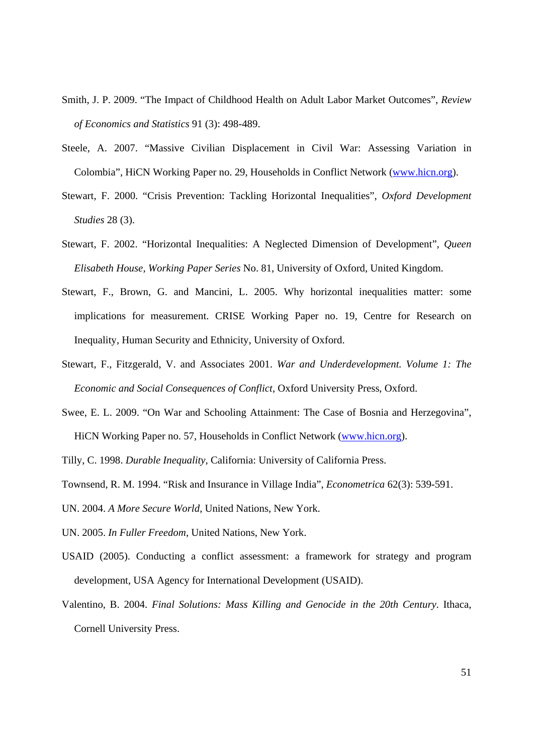- Smith, J. P. 2009. "The Impact of Childhood Health on Adult Labor Market Outcomes", *Review of Economics and Statistics* 91 (3): 498-489.
- Steele, A. 2007. "Massive Civilian Displacement in Civil War: Assessing Variation in Colombia", HiCN Working Paper no. 29, Households in Conflict Network (www.hicn.org).
- Stewart, F. 2000. "Crisis Prevention: Tackling Horizontal Inequalities", *Oxford Development Studies* 28 (3).
- Stewart, F. 2002. "Horizontal Inequalities: A Neglected Dimension of Development", *Queen Elisabeth House, Working Paper Series* No. 81, University of Oxford, United Kingdom.
- Stewart, F., Brown, G. and Mancini, L. 2005. Why horizontal inequalities matter: some implications for measurement. CRISE Working Paper no. 19, Centre for Research on Inequality, Human Security and Ethnicity, University of Oxford.
- Stewart, F., Fitzgerald, V. and Associates 2001. *War and Underdevelopment. Volume 1: The Economic and Social Consequences of Conflict*, Oxford University Press, Oxford.
- Swee, E. L. 2009. "On War and Schooling Attainment: The Case of Bosnia and Herzegovina", HiCN Working Paper no. 57, Households in Conflict Network (www.hicn.org).
- Tilly, C. 1998. *Durable Inequality*, California: University of California Press.
- Townsend, R. M. 1994. "Risk and Insurance in Village India", *Econometrica* 62(3): 539-591.
- UN. 2004. *A More Secure World*, United Nations, New York.
- UN. 2005. *In Fuller Freedom*, United Nations, New York.
- USAID (2005). Conducting a conflict assessment: a framework for strategy and program development, USA Agency for International Development (USAID).
- Valentino, B. 2004. *Final Solutions: Mass Killing and Genocide in the 20th Century*. Ithaca, Cornell University Press.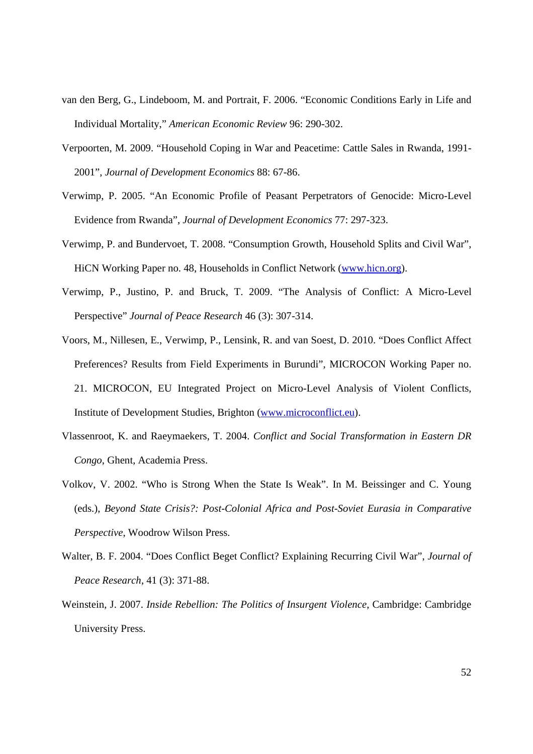- van den Berg, G., Lindeboom, M. and Portrait, F. 2006. "Economic Conditions Early in Life and Individual Mortality," *American Economic Review* 96: 290-302.
- Verpoorten, M. 2009. "Household Coping in War and Peacetime: Cattle Sales in Rwanda, 1991- 2001", *Journal of Development Economics* 88: 67-86.
- Verwimp, P. 2005. "An Economic Profile of Peasant Perpetrators of Genocide: Micro-Level Evidence from Rwanda", *Journal of Development Economics* 77: 297-323.
- Verwimp, P. and Bundervoet, T. 2008. "Consumption Growth, Household Splits and Civil War", HiCN Working Paper no. 48, Households in Conflict Network (www.hicn.org).
- Verwimp, P., Justino, P. and Bruck, T. 2009. "The Analysis of Conflict: A Micro-Level Perspective" *Journal of Peace Research* 46 (3): 307-314.
- Voors, M., Nillesen, E., Verwimp, P., Lensink, R. and van Soest, D. 2010. "Does Conflict Affect Preferences? Results from Field Experiments in Burundi", MICROCON Working Paper no. 21. MICROCON, EU Integrated Project on Micro-Level Analysis of Violent Conflicts, Institute of Development Studies, Brighton (www.microconflict.eu).
- Vlassenroot, K. and Raeymaekers, T. 2004. *Conflict and Social Transformation in Eastern DR Congo*, Ghent, Academia Press.
- Volkov, V. 2002. "Who is Strong When the State Is Weak". In M. Beissinger and C. Young (eds.), *Beyond State Crisis?: Post-Colonial Africa and Post-Soviet Eurasia in Comparative Perspective*, Woodrow Wilson Press.
- Walter, B. F. 2004. "Does Conflict Beget Conflict? Explaining Recurring Civil War", *Journal of Peace Research*, 41 (3): 371-88.
- Weinstein, J. 2007. *Inside Rebellion: The Politics of Insurgent Violence*, Cambridge: Cambridge University Press.